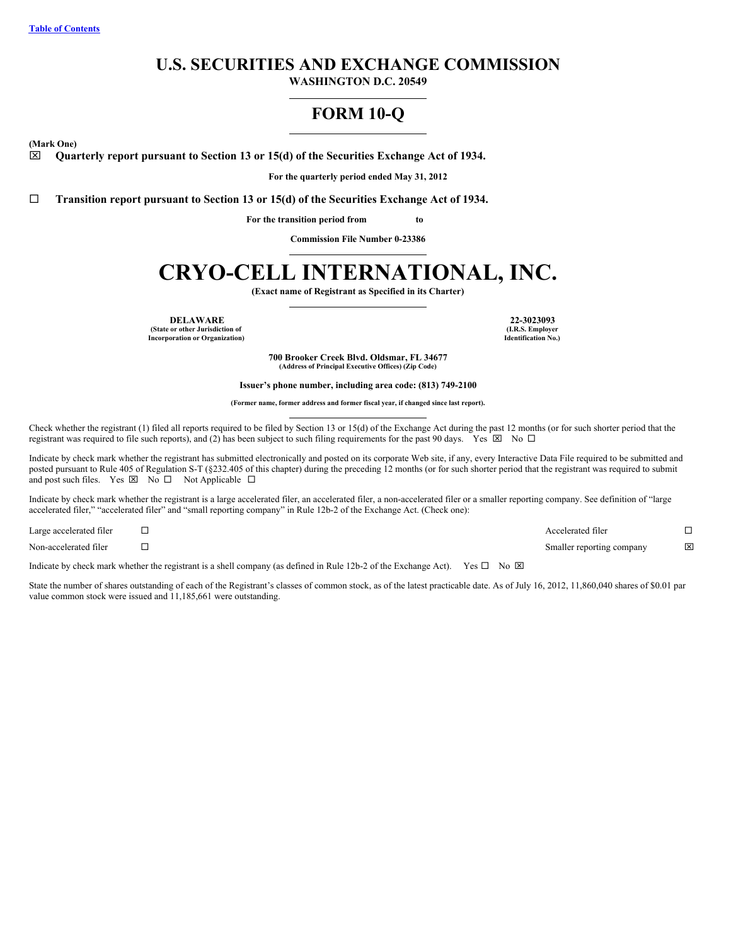# **U.S. SECURITIES AND EXCHANGE COMMISSION**

**WASHINGTON D.C. 20549**

# **FORM 10-Q**

<span id="page-0-0"></span>**(Mark One)**

x **Quarterly report pursuant to Section 13 or 15(d) of the Securities Exchange Act of 1934.**

**For the quarterly period ended May 31, 2012**

¨ **Transition report pursuant to Section 13 or 15(d) of the Securities Exchange Act of 1934.**

**For the transition period from to**

**Commission File Number 0-23386**

# **CRYO-CELL INTERNATIONAL, INC.**

**(Exact name of Registrant as Specified in its Charter)**

**DELAWARE 22-3023093 (State or other Jurisdiction of Incorporation or Organization)**

**(I.R.S. Employer Identification No.)**

**700 Brooker Creek Blvd. Oldsmar, FL 34677 (Address of Principal Executive Offices) (Zip Code)**

**Issuer's phone number, including area code: (813) 749-2100**

**(Former name, former address and former fiscal year, if changed since last report).**

Check whether the registrant (1) filed all reports required to be filed by Section 13 or 15(d) of the Exchange Act during the past 12 months (or for such shorter period that the registrant was required to file such reports), and (2) has been subject to such filing requirements for the past 90 days. Yes  $\boxtimes$  No  $\Box$ 

Indicate by check mark whether the registrant has submitted electronically and posted on its corporate Web site, if any, every Interactive Data File required to be submitted and posted pursuant to Rule 405 of Regulation S-T (§232.405 of this chapter) during the preceding 12 months (or for such shorter period that the registrant was required to submit and post such files. Yes  $\boxtimes$  No  $\square$  Not Applicable  $\square$ 

Indicate by check mark whether the registrant is a large accelerated filer, an accelerated filer, a non-accelerated filer or a smaller reporting company. See definition of "large accelerated filer," "accelerated filer" and "small reporting company" in Rule 12b-2 of the Exchange Act. (Check one):

| Large accelerated filer | Accelerated filer         |   |
|-------------------------|---------------------------|---|
| Non-accelerated filer   | Smaller reporting company | ⊠ |

Indicate by check mark whether the registrant is a shell company (as defined in Rule 12b-2 of the Exchange Act). Yes  $\Box$  No  $\boxtimes$ 

State the number of shares outstanding of each of the Registrant's classes of common stock, as of the latest practicable date. As of July 16, 2012, 11,860,040 shares of \$0.01 par value common stock were issued and 11,185,661 were outstanding.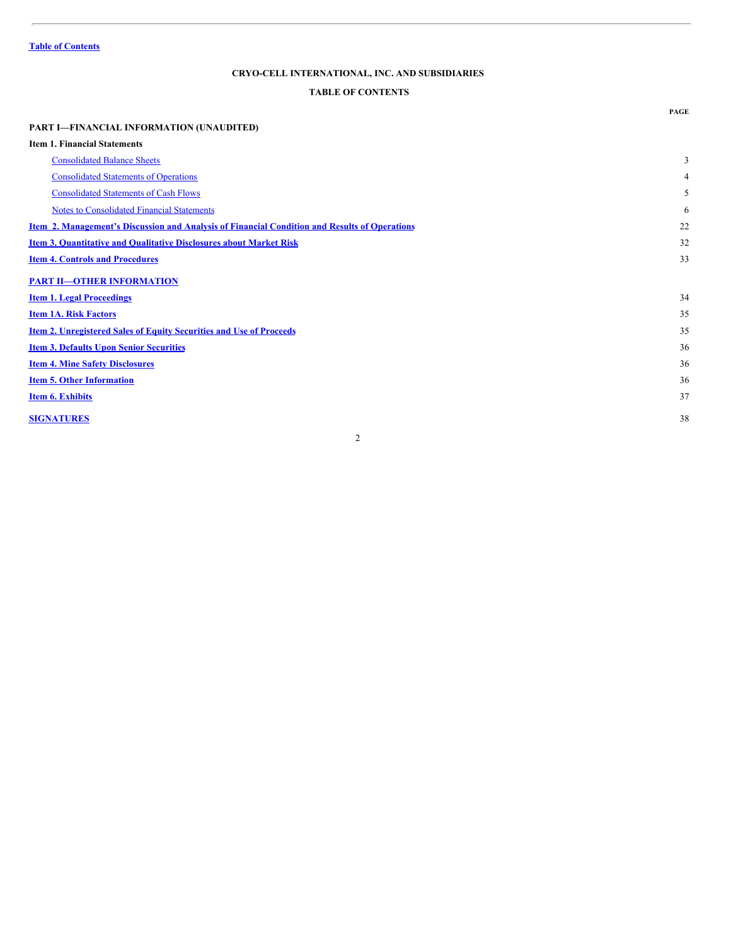# **CRYO-CELL INTERNATIONAL, INC. AND SUBSIDIARIES**

# <span id="page-1-0"></span>**TABLE OF CONTENTS**

**PAGE**

| PART I-FINANCIAL INFORMATION (UNAUDITED)                                                             |    |
|------------------------------------------------------------------------------------------------------|----|
| <b>Item 1. Financial Statements</b>                                                                  |    |
| <b>Consolidated Balance Sheets</b>                                                                   | 3  |
| <b>Consolidated Statements of Operations</b>                                                         | 4  |
| <b>Consolidated Statements of Cash Flows</b>                                                         | 5  |
| <b>Notes to Consolidated Financial Statements</b>                                                    | 6  |
| <u>Item 2. Management's Discussion and Analysis of Financial Condition and Results of Operations</u> | 22 |
| <b>Item 3. Quantitative and Qualitative Disclosures about Market Risk</b>                            | 32 |
| <b>Item 4. Controls and Procedures</b>                                                               | 33 |
| <b>PART II-OTHER INFORMATION</b>                                                                     |    |
| <b>Item 1. Legal Proceedings</b>                                                                     | 34 |
| <b>Item 1A. Risk Factors</b>                                                                         | 35 |
| <b>Item 2. Unregistered Sales of Equity Securities and Use of Proceeds</b>                           | 35 |
| <b>Item 3. Defaults Upon Senior Securities</b>                                                       | 36 |
| <b>Item 4. Mine Safety Disclosures</b>                                                               | 36 |
| <b>Item 5. Other Information</b>                                                                     | 36 |
| <b>Item 6. Exhibits</b>                                                                              | 37 |
| <b>SIGNATURES</b>                                                                                    | 38 |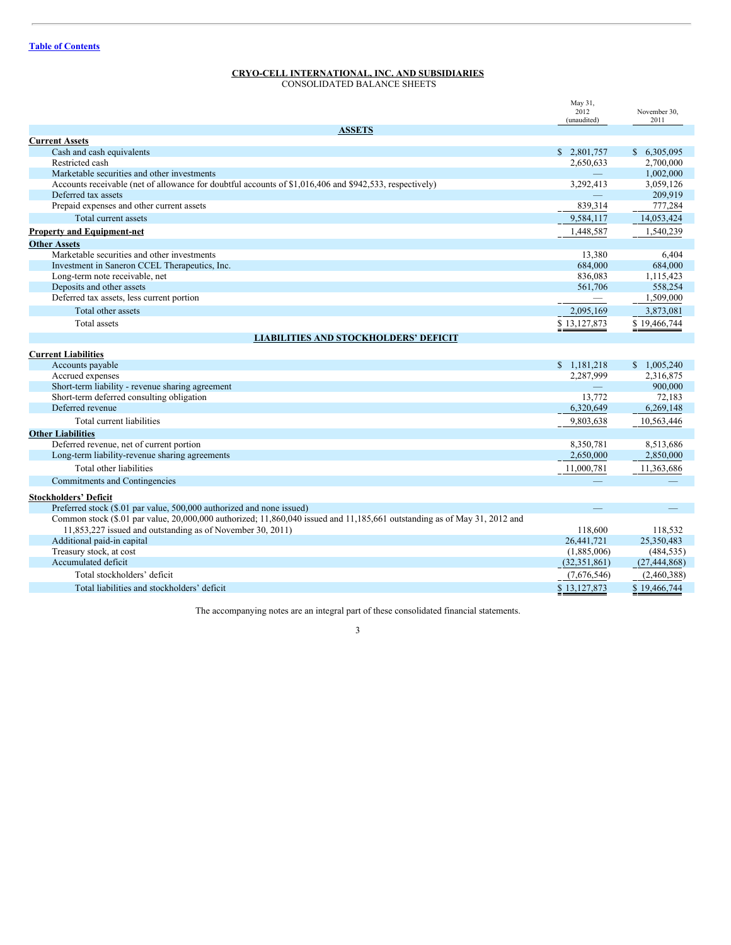#### **CRYO-CELL INTERNATIONAL, INC. AND SUBSIDIARIES** CONSOLIDATED BALANCE SHEETS

<span id="page-2-0"></span>

|                                                                                                                           | May 31,<br>2012<br>(unaudited) | November 30,<br>2011 |
|---------------------------------------------------------------------------------------------------------------------------|--------------------------------|----------------------|
| <b>ASSETS</b>                                                                                                             |                                |                      |
| <b>Current Assets</b>                                                                                                     |                                |                      |
| Cash and cash equivalents                                                                                                 | \$ 2,801,757                   | \$6,305,095          |
| Restricted cash                                                                                                           | 2,650,633                      | 2,700,000            |
| Marketable securities and other investments                                                                               |                                | 1,002,000            |
| Accounts receivable (net of allowance for doubtful accounts of \$1,016,406 and \$942,533, respectively)                   | 3,292,413                      | 3,059,126            |
| Deferred tax assets                                                                                                       |                                | 209,919              |
| Prepaid expenses and other current assets                                                                                 | 839,314                        | 777,284              |
| Total current assets                                                                                                      | 9.584.117                      | 14,053,424           |
| <b>Property and Equipment-net</b>                                                                                         | 1,448,587                      | 1,540,239            |
| <b>Other Assets</b>                                                                                                       |                                |                      |
| Marketable securities and other investments                                                                               | 13,380                         | 6,404                |
| Investment in Saneron CCEL Therapeutics, Inc.                                                                             | 684,000                        | 684,000              |
| Long-term note receivable, net                                                                                            | 836,083                        | 1,115,423            |
| Deposits and other assets                                                                                                 | 561,706                        | 558,254              |
| Deferred tax assets, less current portion                                                                                 |                                | 1,509,000            |
| Total other assets                                                                                                        | 2,095,169                      | 3,873,081            |
| Total assets                                                                                                              | \$13,127,873                   | \$19,466,744         |
| <b>LIABILITIES AND STOCKHOLDERS' DEFICIT</b>                                                                              |                                |                      |
| <b>Current Liabilities</b>                                                                                                |                                |                      |
| Accounts payable                                                                                                          | \$1,181,218                    | \$1,005,240          |
| Accrued expenses                                                                                                          | 2,287,999                      | 2,316,875            |
| Short-term liability - revenue sharing agreement                                                                          |                                | 900,000              |
| Short-term deferred consulting obligation                                                                                 | 13,772                         | 72,183               |
| Deferred revenue                                                                                                          | 6.320.649                      | 6,269,148            |
| Total current liabilities                                                                                                 | 9,803,638                      | 10,563,446           |
| <b>Other Liabilities</b>                                                                                                  |                                |                      |
| Deferred revenue, net of current portion                                                                                  | 8,350,781                      | 8,513,686            |
| Long-term liability-revenue sharing agreements                                                                            | 2,650,000                      | 2,850,000            |
| Total other liabilities                                                                                                   | 11,000,781                     | 11,363,686           |
| Commitments and Contingencies                                                                                             |                                |                      |
| <b>Stockholders' Deficit</b>                                                                                              |                                |                      |
| Preferred stock (\$.01 par value, 500,000 authorized and none issued)                                                     |                                |                      |
| Common stock (\$.01 par value, 20,000,000 authorized; 11,860,040 issued and 11,185,661 outstanding as of May 31, 2012 and |                                |                      |
| 11,853,227 issued and outstanding as of November 30, 2011)                                                                | 118,600                        | 118,532              |
| Additional paid-in capital                                                                                                | 26,441,721                     | 25,350,483           |
| Treasury stock, at cost                                                                                                   | (1,885,006)                    | (484, 535)           |
| Accumulated deficit                                                                                                       | (32,351,861)                   | (27, 444, 868)       |
| Total stockholders' deficit                                                                                               | (7,676,546)                    | (2,460,388)          |
| Total liabilities and stockholders' deficit                                                                               | \$13,127,873                   | \$19,466,744         |

The accompanying notes are an integral part of these consolidated financial statements.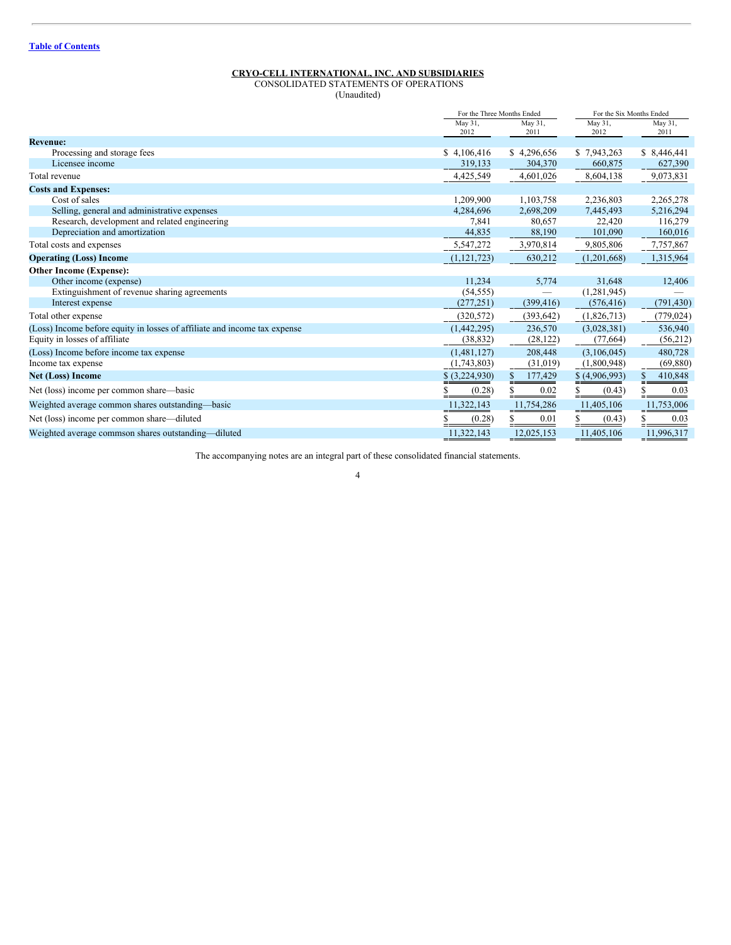## **CRYO-CELL INTERNATIONAL, INC. AND SUBSIDIARIES**

<span id="page-3-0"></span>CONSOLIDATED STATEMENTS OF OPERATIONS (Unaudited)

|                                                                           |                 | For the Three Months Ended |                 | For the Six Months Ended |
|---------------------------------------------------------------------------|-----------------|----------------------------|-----------------|--------------------------|
|                                                                           | May 31,<br>2012 | May 31,<br>2011            | May 31,<br>2012 | May 31,<br>2011          |
| <b>Revenue:</b>                                                           |                 |                            |                 |                          |
| Processing and storage fees                                               | \$4,106,416     | \$4,296,656                | \$7,943,263     | \$8,446,441              |
| Licensee income                                                           | 319,133         | 304,370                    | 660,875         | 627,390                  |
| Total revenue                                                             | 4,425,549       | 4,601,026                  | 8,604,138       | 9,073,831                |
| <b>Costs and Expenses:</b>                                                |                 |                            |                 |                          |
| Cost of sales                                                             | 1,209,900       | 1,103,758                  | 2,236,803       | 2,265,278                |
| Selling, general and administrative expenses                              | 4.284.696       | 2,698,209                  | 7,445,493       | 5,216,294                |
| Research, development and related engineering                             | 7,841           | 80.657                     | 22,420          | 116,279                  |
| Depreciation and amortization                                             | 44,835          | 88,190                     | 101,090         | 160,016                  |
| Total costs and expenses                                                  | 5,547,272       | 3,970,814                  | 9,805,806       | 7,757,867                |
| <b>Operating (Loss) Income</b>                                            | (1, 121, 723)   | 630,212                    | (1,201,668)     | 1,315,964                |
| Other Income (Expense):                                                   |                 |                            |                 |                          |
| Other income (expense)                                                    | 11,234          | 5,774                      | 31,648          | 12,406                   |
| Extinguishment of revenue sharing agreements                              | (54, 555)       |                            | (1,281,945)     |                          |
| Interest expense                                                          | (277, 251)      | (399, 416)                 | (576, 416)      | (791, 430)               |
| Total other expense                                                       | (320, 572)      | (393, 642)                 | (1,826,713)     | (779, 024)               |
| (Loss) Income before equity in losses of affiliate and income tax expense | (1,442,295)     | 236,570                    | (3,028,381)     | 536,940                  |
| Equity in losses of affiliate                                             | (38, 832)       | (28, 122)                  | (77, 664)       | (56,212)                 |
| (Loss) Income before income tax expense                                   | (1,481,127)     | 208,448                    | (3,106,045)     | 480,728                  |
| Income tax expense                                                        | (1,743,803)     | (31,019)                   | (1,800,948)     | (69, 880)                |
| <b>Net (Loss) Income</b>                                                  | \$ (3,224,930)  | \$<br>177,429              | \$ (4,906,993)  | 410,848                  |
| Net (loss) income per common share—basic                                  | (0.28)          | \$<br>0.02                 | (0.43)          | 0.03                     |
| Weighted average common shares outstanding-basic                          | 11,322,143      | 11,754,286                 | 11,405,106      | 11,753,006               |
| Net (loss) income per common share—diluted                                | (0.28)          | 0.01<br>S                  | (0.43)          | 0.03                     |
| Weighted average commson shares outstanding—diluted                       | 11,322,143      | 12,025,153                 | 11,405,106      | 11,996,317               |

The accompanying notes are an integral part of these consolidated financial statements.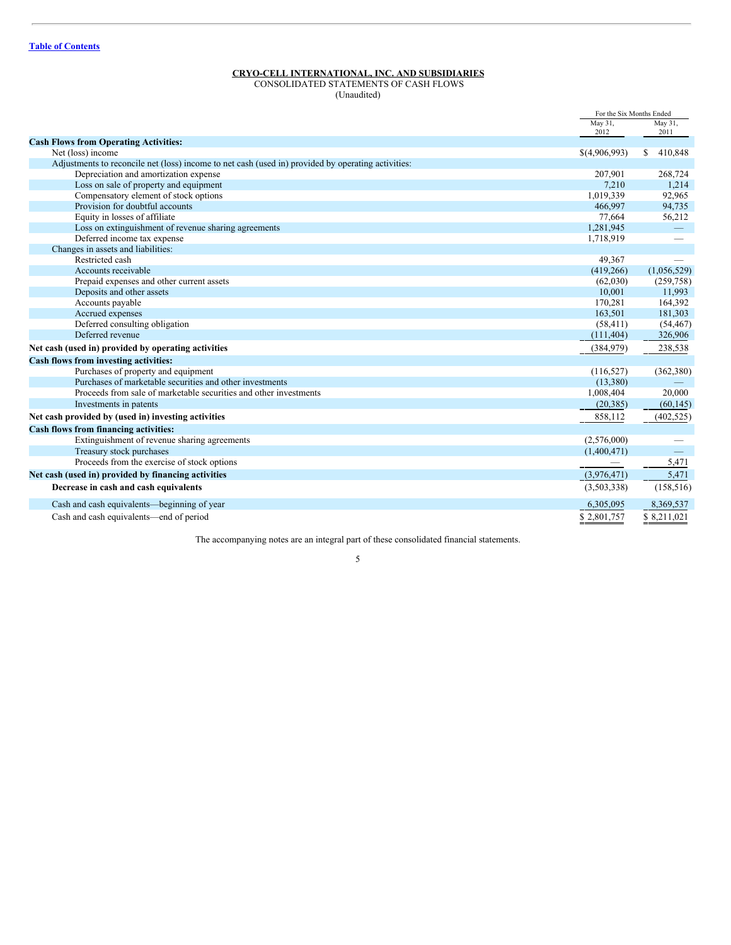## **CRYO-CELL INTERNATIONAL, INC. AND SUBSIDIARIES**

<span id="page-4-0"></span>CONSOLIDATED STATEMENTS OF CASH FLOWS

(Unaudited)

|                                                                                                    | For the Six Months Ended |               |
|----------------------------------------------------------------------------------------------------|--------------------------|---------------|
|                                                                                                    | May 31,                  | May 31,       |
|                                                                                                    | 2012                     | 2011          |
| <b>Cash Flows from Operating Activities:</b>                                                       |                          |               |
| Net (loss) income                                                                                  | \$(4,906,993)            | 410,848<br>S. |
| Adjustments to reconcile net (loss) income to net cash (used in) provided by operating activities: |                          |               |
| Depreciation and amortization expense                                                              | 207,901                  | 268,724       |
| Loss on sale of property and equipment                                                             | 7,210                    | 1,214         |
| Compensatory element of stock options                                                              | 1,019,339                | 92,965        |
| Provision for doubtful accounts                                                                    | 466,997                  | 94,735        |
| Equity in losses of affiliate                                                                      | 77,664                   | 56,212        |
| Loss on extinguishment of revenue sharing agreements                                               | 1,281,945                |               |
| Deferred income tax expense                                                                        | 1,718,919                |               |
| Changes in assets and liabilities:                                                                 |                          |               |
| Restricted cash                                                                                    | 49,367                   |               |
| Accounts receivable                                                                                | (419, 266)               | (1,056,529)   |
| Prepaid expenses and other current assets                                                          | (62,030)                 | (259, 758)    |
| Deposits and other assets                                                                          | 10,001                   | 11,993        |
| Accounts payable                                                                                   | 170,281                  | 164,392       |
| Accrued expenses                                                                                   | 163,501                  | 181,303       |
| Deferred consulting obligation                                                                     | (58, 411)                | (54, 467)     |
| Deferred revenue                                                                                   | (111, 404)               | 326,906       |
| Net cash (used in) provided by operating activities                                                | (384, 979)               | 238,538       |
| Cash flows from investing activities:                                                              |                          |               |
| Purchases of property and equipment                                                                | (116, 527)               | (362, 380)    |
| Purchases of marketable securities and other investments                                           | (13,380)                 |               |
| Proceeds from sale of marketable securities and other investments                                  | 1,008,404                | 20,000        |
| Investments in patents                                                                             | (20, 385)                | (60, 145)     |
| Net cash provided by (used in) investing activities                                                | 858,112                  | (402, 525)    |
| Cash flows from financing activities:                                                              |                          |               |
| Extinguishment of revenue sharing agreements                                                       | (2,576,000)              |               |
| Treasury stock purchases                                                                           | (1,400,471)              |               |
| Proceeds from the exercise of stock options                                                        |                          | 5,471         |
| Net cash (used in) provided by financing activities                                                | (3,976,471)              | 5,471         |
| Decrease in cash and cash equivalents                                                              | (3,503,338)              | (158, 516)    |
| Cash and cash equivalents—beginning of year                                                        | 6,305,095                | 8,369,537     |
| Cash and cash equivalents—end of period                                                            | \$2,801,757              | \$8,211,021   |

The accompanying notes are an integral part of these consolidated financial statements.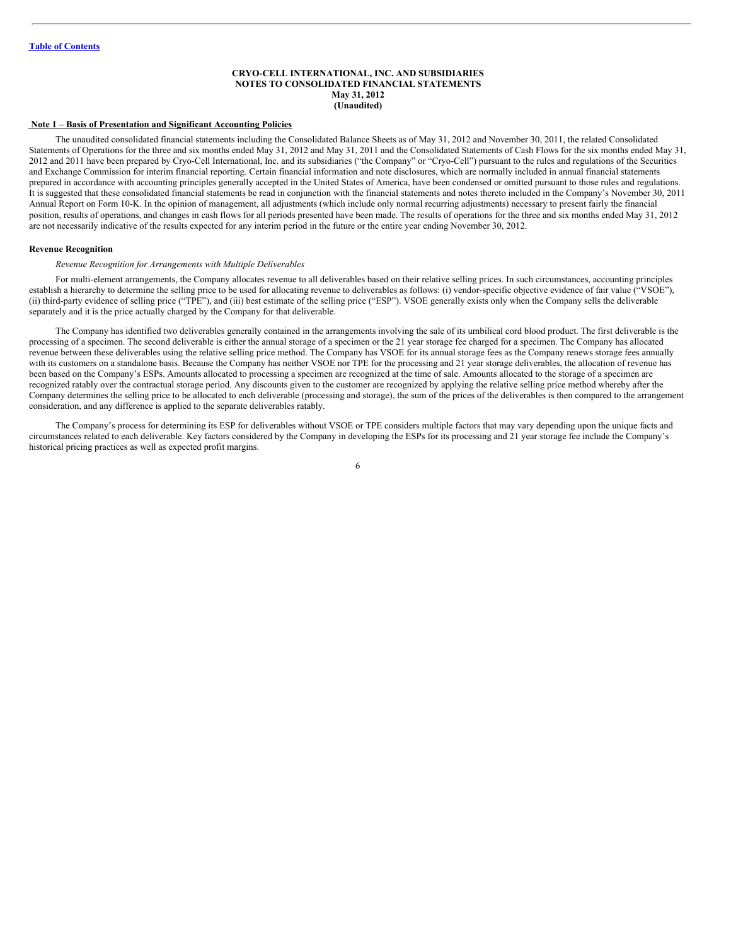## **CRYO-CELL INTERNATIONAL, INC. AND SUBSIDIARIES NOTES TO CONSOLIDATED FINANCIAL STATEMENTS May 31, 2012 (Unaudited)**

#### <span id="page-5-0"></span>**Note 1 – Basis of Presentation and Significant Accounting Policies**

The unaudited consolidated financial statements including the Consolidated Balance Sheets as of May 31, 2012 and November 30, 2011, the related Consolidated Statements of Operations for the three and six months ended May 31, 2012 and May 31, 2011 and the Consolidated Statements of Cash Flows for the six months ended May 31, 2012 and 2011 have been prepared by Cryo-Cell International, Inc. and its subsidiaries ("the Company" or "Cryo-Cell") pursuant to the rules and regulations of the Securities and Exchange Commission for interim financial reporting. Certain financial information and note disclosures, which are normally included in annual financial statements prepared in accordance with accounting principles generally accepted in the United States of America, have been condensed or omitted pursuant to those rules and regulations. It is suggested that these consolidated financial statements be read in conjunction with the financial statements and notes thereto included in the Company's November 30, 2011 Annual Report on Form 10-K. In the opinion of management, all adjustments (which include only normal recurring adjustments) necessary to present fairly the financial position, results of operations, and changes in cash flows for all periods presented have been made. The results of operations for the three and six months ended May 31, 2012 are not necessarily indicative of the results expected for any interim period in the future or the entire year ending November 30, 2012.

#### **Revenue Recognition**

#### *Revenue Recognition for Arrangements with Multiple Deliverables*

For multi-element arrangements, the Company allocates revenue to all deliverables based on their relative selling prices. In such circumstances, accounting principles establish a hierarchy to determine the selling price to be used for allocating revenue to deliverables as follows: (i) vendor-specific objective evidence of fair value ("VSOE"), (ii) third-party evidence of selling price ("TPE"), and (iii) best estimate of the selling price ("ESP"). VSOE generally exists only when the Company sells the deliverable separately and it is the price actually charged by the Company for that deliverable.

The Company has identified two deliverables generally contained in the arrangements involving the sale of its umbilical cord blood product. The first deliverable is the processing of a specimen. The second deliverable is either the annual storage of a specimen or the 21 year storage fee charged for a specimen. The Company has allocated revenue between these deliverables using the relative selling price method. The Company has VSOE for its annual storage fees as the Company renews storage fees annually with its customers on a standalone basis. Because the Company has neither VSOE nor TPE for the processing and 21 year storage deliverables, the allocation of revenue has been based on the Company's ESPs. Amounts allocated to processing a specimen are recognized at the time of sale. Amounts allocated to the storage of a specimen are recognized ratably over the contractual storage period. Any discounts given to the customer are recognized by applying the relative selling price method whereby after the Company determines the selling price to be allocated to each deliverable (processing and storage), the sum of the prices of the deliverables is then compared to the arrangement consideration, and any difference is applied to the separate deliverables ratably.

The Company's process for determining its ESP for deliverables without VSOE or TPE considers multiple factors that may vary depending upon the unique facts and circumstances related to each deliverable. Key factors considered by the Company in developing the ESPs for its processing and 21 year storage fee include the Company's historical pricing practices as well as expected profit margins.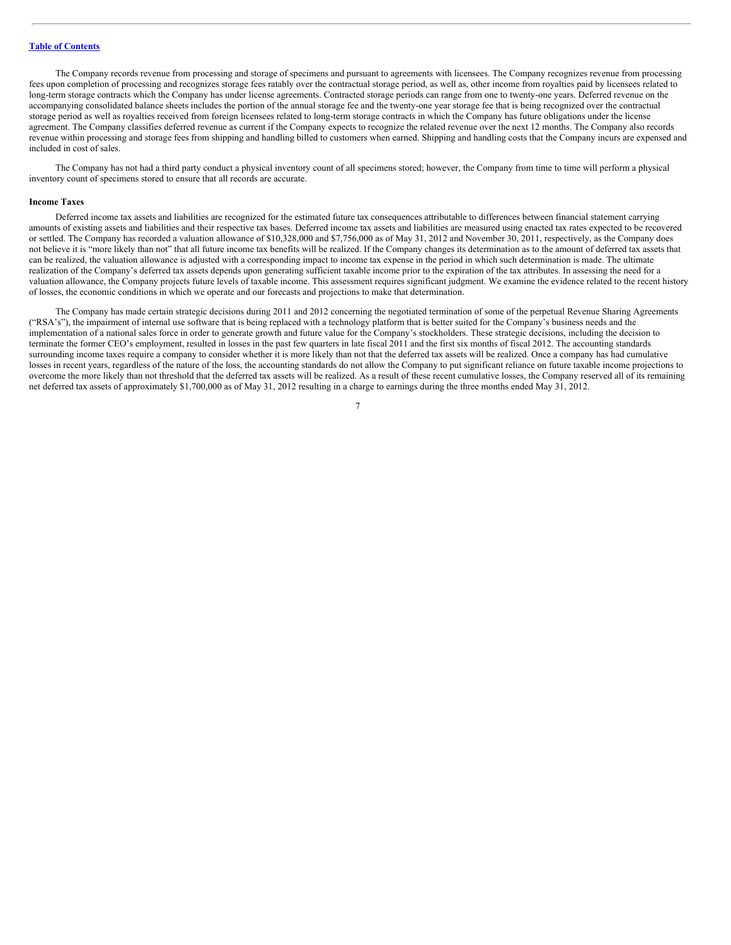The Company records revenue from processing and storage of specimens and pursuant to agreements with licensees. The Company recognizes revenue from processing fees upon completion of processing and recognizes storage fees ratably over the contractual storage period, as well as, other income from royalties paid by licensees related to long-term storage contracts which the Company has under license agreements. Contracted storage periods can range from one to twenty-one years. Deferred revenue on the accompanying consolidated balance sheets includes the portion of the annual storage fee and the twenty-one year storage fee that is being recognized over the contractual storage period as well as royalties received from foreign licensees related to long-term storage contracts in which the Company has future obligations under the license agreement. The Company classifies deferred revenue as current if the Company expects to recognize the related revenue over the next 12 months. The Company also records revenue within processing and storage fees from shipping and handling billed to customers when earned. Shipping and handling costs that the Company incurs are expensed and included in cost of sales.

The Company has not had a third party conduct a physical inventory count of all specimens stored; however, the Company from time to time will perform a physical inventory count of specimens stored to ensure that all records are accurate.

## **Income Taxes**

Deferred income tax assets and liabilities are recognized for the estimated future tax consequences attributable to differences between financial statement carrying amounts of existing assets and liabilities and their respective tax bases. Deferred income tax assets and liabilities are measured using enacted tax rates expected to be recovered or settled. The Company has recorded a valuation allowance of \$10,328,000 and \$7,756,000 as of May 31, 2012 and November 30, 2011, respectively, as the Company does not believe it is "more likely than not" that all future income tax benefits will be realized. If the Company changes its determination as to the amount of deferred tax assets that can be realized, the valuation allowance is adjusted with a corresponding impact to income tax expense in the period in which such determination is made. The ultimate realization of the Company's deferred tax assets depends upon generating sufficient taxable income prior to the expiration of the tax attributes. In assessing the need for a valuation allowance, the Company projects future levels of taxable income. This assessment requires significant judgment. We examine the evidence related to the recent history of losses, the economic conditions in which we operate and our forecasts and projections to make that determination.

The Company has made certain strategic decisions during 2011 and 2012 concerning the negotiated termination of some of the perpetual Revenue Sharing Agreements ("RSA's"), the impairment of internal use software that is being replaced with a technology platform that is better suited for the Company's business needs and the implementation of a national sales force in order to generate growth and future value for the Company's stockholders. These strategic decisions, including the decision to terminate the former CEO's employment, resulted in losses in the past few quarters in late fiscal 2011 and the first six months of fiscal 2012. The accounting standards surrounding income taxes require a company to consider whether it is more likely than not that the deferred tax assets will be realized. Once a company has had cumulative losses in recent years, regardless of the nature of the loss, the accounting standards do not allow the Company to put significant reliance on future taxable income projections to overcome the more likely than not threshold that the deferred tax assets will be realized. As a result of these recent cumulative losses, the Company reserved all of its remaining net deferred tax assets of approximately \$1,700,000 as of May 31, 2012 resulting in a charge to earnings during the three months ended May 31, 2012.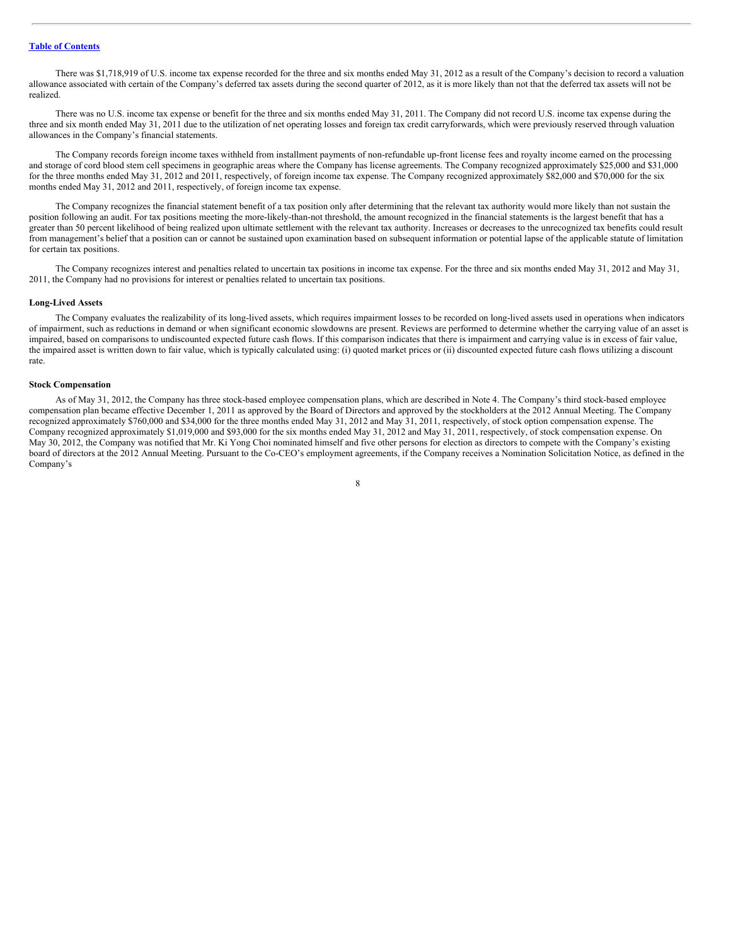There was \$1,718,919 of U.S. income tax expense recorded for the three and six months ended May 31, 2012 as a result of the Company's decision to record a valuation allowance associated with certain of the Company's deferred tax assets during the second quarter of 2012, as it is more likely than not that the deferred tax assets will not be realized.

There was no U.S. income tax expense or benefit for the three and six months ended May 31, 2011. The Company did not record U.S. income tax expense during the three and six month ended May 31, 2011 due to the utilization of net operating losses and foreign tax credit carryforwards, which were previously reserved through valuation allowances in the Company's financial statements.

The Company records foreign income taxes withheld from installment payments of non-refundable up-front license fees and royalty income earned on the processing and storage of cord blood stem cell specimens in geographic areas where the Company has license agreements. The Company recognized approximately \$25,000 and \$31,000 for the three months ended May 31, 2012 and 2011, respectively, of foreign income tax expense. The Company recognized approximately \$82,000 and \$70,000 for the six months ended May 31, 2012 and 2011, respectively, of foreign income tax expense.

The Company recognizes the financial statement benefit of a tax position only after determining that the relevant tax authority would more likely than not sustain the position following an audit. For tax positions meeting the more-likely-than-not threshold, the amount recognized in the financial statements is the largest benefit that has a greater than 50 percent likelihood of being realized upon ultimate settlement with the relevant tax authority. Increases or decreases to the unrecognized tax benefits could result from management's belief that a position can or cannot be sustained upon examination based on subsequent information or potential lapse of the applicable statute of limitation for certain tax positions.

The Company recognizes interest and penalties related to uncertain tax positions in income tax expense. For the three and six months ended May 31, 2012 and May 31, 2011, the Company had no provisions for interest or penalties related to uncertain tax positions.

#### **Long-Lived Assets**

The Company evaluates the realizability of its long-lived assets, which requires impairment losses to be recorded on long-lived assets used in operations when indicators of impairment, such as reductions in demand or when significant economic slowdowns are present. Reviews are performed to determine whether the carrying value of an asset is impaired, based on comparisons to undiscounted expected future cash flows. If this comparison indicates that there is impairment and carrying value is in excess of fair value, the impaired asset is written down to fair value, which is typically calculated using: (i) quoted market prices or (ii) discounted expected future cash flows utilizing a discount rate.

#### **Stock Compensation**

As of May 31, 2012, the Company has three stock-based employee compensation plans, which are described in Note 4. The Company's third stock-based employee compensation plan became effective December 1, 2011 as approved by the Board of Directors and approved by the stockholders at the 2012 Annual Meeting. The Company recognized approximately \$760,000 and \$34,000 for the three months ended May 31, 2012 and May 31, 2011, respectively, of stock option compensation expense. The Company recognized approximately \$1,019,000 and \$93,000 for the six months ended May 31, 2012 and May 31, 2011, respectively, of stock compensation expense. On May 30, 2012, the Company was notified that Mr. Ki Yong Choi nominated himself and five other persons for election as directors to compete with the Company's existing board of directors at the 2012 Annual Meeting. Pursuant to the Co-CEO's employment agreements, if the Company receives a Nomination Solicitation Notice, as defined in the Company's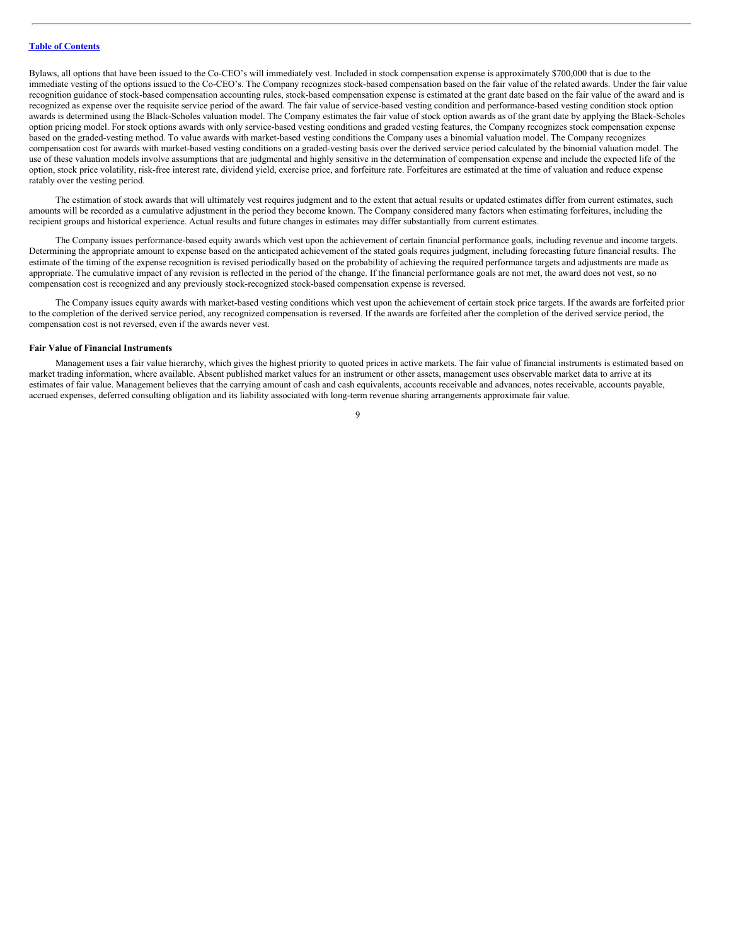Bylaws, all options that have been issued to the Co-CEO's will immediately vest. Included in stock compensation expense is approximately \$700,000 that is due to the immediate vesting of the options issued to the Co-CEO's. The Company recognizes stock-based compensation based on the fair value of the related awards. Under the fair value recognition guidance of stock-based compensation accounting rules, stock-based compensation expense is estimated at the grant date based on the fair value of the award and is recognized as expense over the requisite service period of the award. The fair value of service-based vesting condition and performance-based vesting condition stock option awards is determined using the Black-Scholes valuation model. The Company estimates the fair value of stock option awards as of the grant date by applying the Black-Scholes option pricing model. For stock options awards with only service-based vesting conditions and graded vesting features, the Company recognizes stock compensation expense based on the graded-vesting method. To value awards with market-based vesting conditions the Company uses a binomial valuation model. The Company recognizes compensation cost for awards with market-based vesting conditions on a graded-vesting basis over the derived service period calculated by the binomial valuation model. The use of these valuation models involve assumptions that are judgmental and highly sensitive in the determination of compensation expense and include the expected life of the option, stock price volatility, risk-free interest rate, dividend yield, exercise price, and forfeiture rate. Forfeitures are estimated at the time of valuation and reduce expense ratably over the vesting period.

The estimation of stock awards that will ultimately vest requires judgment and to the extent that actual results or updated estimates differ from current estimates, such amounts will be recorded as a cumulative adjustment in the period they become known. The Company considered many factors when estimating forfeitures, including the recipient groups and historical experience. Actual results and future changes in estimates may differ substantially from current estimates.

The Company issues performance-based equity awards which vest upon the achievement of certain financial performance goals, including revenue and income targets. Determining the appropriate amount to expense based on the anticipated achievement of the stated goals requires judgment, including forecasting future financial results. The estimate of the timing of the expense recognition is revised periodically based on the probability of achieving the required performance targets and adjustments are made as appropriate. The cumulative impact of any revision is reflected in the period of the change. If the financial performance goals are not met, the award does not vest, so no compensation cost is recognized and any previously stock-recognized stock-based compensation expense is reversed.

The Company issues equity awards with market-based vesting conditions which vest upon the achievement of certain stock price targets. If the awards are forfeited prior to the completion of the derived service period, any recognized compensation is reversed. If the awards are forfeited after the completion of the derived service period, the compensation cost is not reversed, even if the awards never vest.

#### **Fair Value of Financial Instruments**

Management uses a fair value hierarchy, which gives the highest priority to quoted prices in active markets. The fair value of financial instruments is estimated based on market trading information, where available. Absent published market values for an instrument or other assets, management uses observable market data to arrive at its estimates of fair value. Management believes that the carrying amount of cash and cash equivalents, accounts receivable and advances, notes receivable, accounts payable, accrued expenses, deferred consulting obligation and its liability associated with long-term revenue sharing arrangements approximate fair value.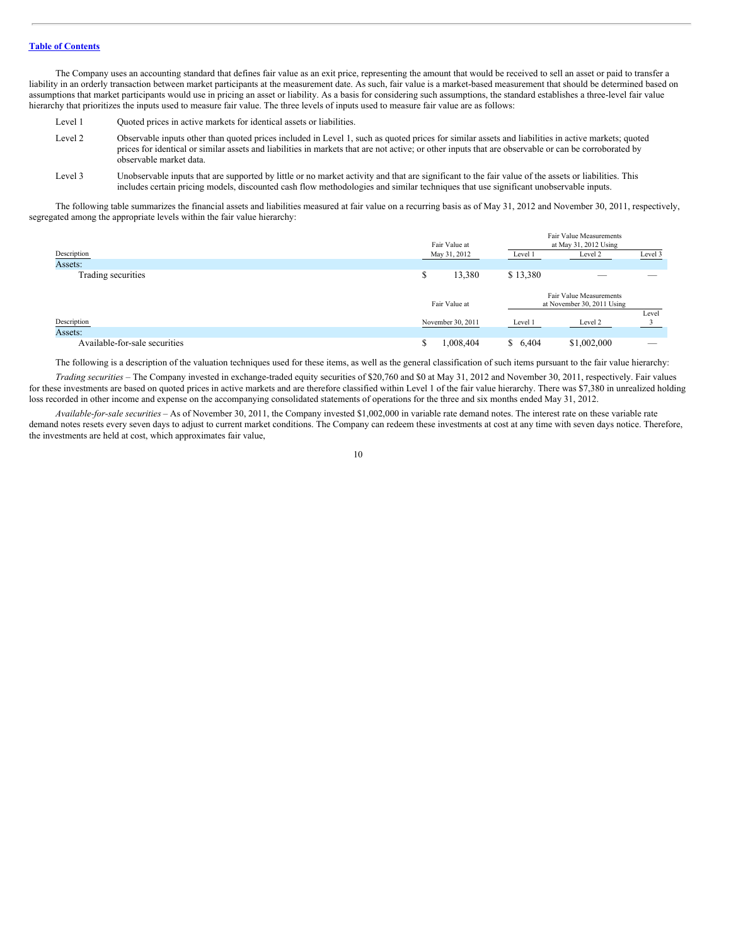The Company uses an accounting standard that defines fair value as an exit price, representing the amount that would be received to sell an asset or paid to transfer a liability in an orderly transaction between market participants at the measurement date. As such, fair value is a market-based measurement that should be determined based on assumptions that market participants would use in pricing an asset or liability. As a basis for considering such assumptions, the standard establishes a three-level fair value hierarchy that prioritizes the inputs used to measure fair value. The three levels of inputs used to measure fair value are as follows:

- Level 1 Quoted prices in active markets for identical assets or liabilities.
- Level 2 Observable inputs other than quoted prices included in Level 1, such as quoted prices for similar assets and liabilities in active markets; quoted prices for identical or similar assets and liabilities in markets that are not active; or other inputs that are observable or can be corroborated by observable market data.
- Level 3 Unobservable inputs that are supported by little or no market activity and that are significant to the fair value of the assets or liabilities. This includes certain pricing models, discounted cash flow methodologies and similar techniques that use significant unobservable inputs.

The following table summarizes the financial assets and liabilities measured at fair value on a recurring basis as of May 31, 2012 and November 30, 2011, respectively, segregated among the appropriate levels within the fair value hierarchy:

|                               | Fair Value at     | Fair Value Measurements<br>at May 31, 2012 Using |                                                       |         |
|-------------------------------|-------------------|--------------------------------------------------|-------------------------------------------------------|---------|
| Description                   | May 31, 2012      | Level 1                                          | Level 2                                               | Level 3 |
| Assets:                       |                   |                                                  |                                                       |         |
| Trading securities            | 13,380<br>D       | \$13,380                                         |                                                       |         |
|                               | Fair Value at     |                                                  | Fair Value Measurements<br>at November 30, 2011 Using |         |
|                               |                   |                                                  |                                                       | Level   |
| Description                   | November 30, 2011 | Level 1                                          | Level 2                                               |         |
| Assets:                       |                   |                                                  |                                                       |         |
| Available-for-sale securities | 1.008.404         | \$6,404                                          | \$1,002,000                                           |         |

The following is a description of the valuation techniques used for these items, as well as the general classification of such items pursuant to the fair value hierarchy:

*Trading securities –* The Company invested in exchange-traded equity securities of \$20,760 and \$0 at May 31, 2012 and November 30, 2011, respectively. Fair values for these investments are based on quoted prices in active markets and are therefore classified within Level 1 of the fair value hierarchy. There was \$7,380 in unrealized holding loss recorded in other income and expense on the accompanying consolidated statements of operations for the three and six months ended May 31, 2012.

*Available-for-sale securities* – As of November 30, 2011, the Company invested \$1,002,000 in variable rate demand notes. The interest rate on these variable rate demand notes resets every seven days to adjust to current market conditions. The Company can redeem these investments at cost at any time with seven days notice. Therefore, the investments are held at cost, which approximates fair value,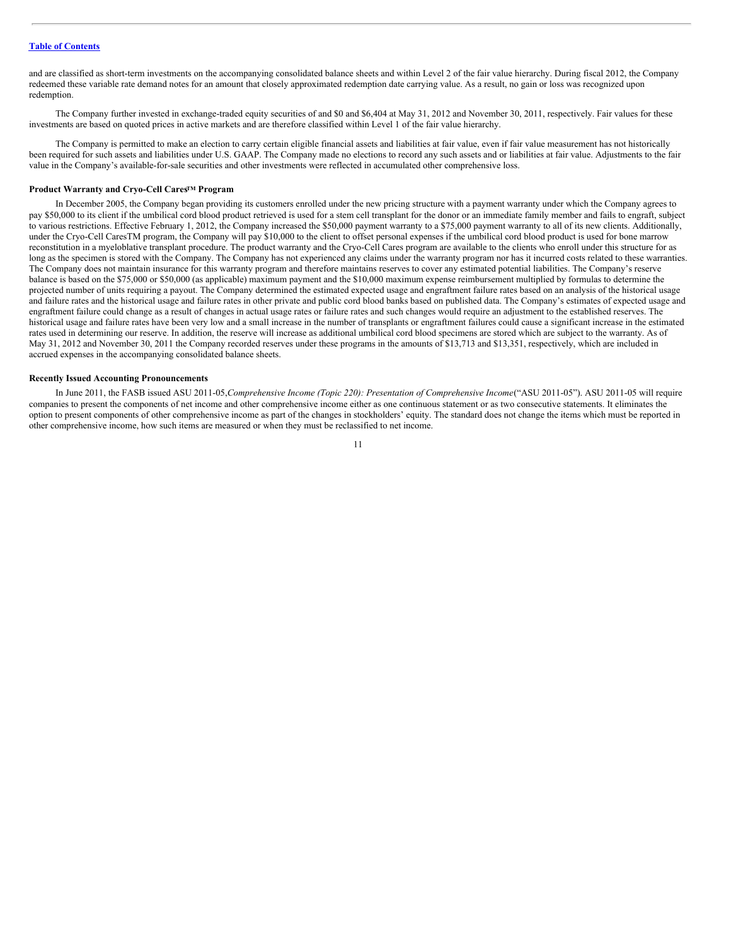and are classified as short-term investments on the accompanying consolidated balance sheets and within Level 2 of the fair value hierarchy. During fiscal 2012, the Company redeemed these variable rate demand notes for an amount that closely approximated redemption date carrying value. As a result, no gain or loss was recognized upon redemption.

The Company further invested in exchange-traded equity securities of and \$0 and \$6,404 at May 31, 2012 and November 30, 2011, respectively. Fair values for these investments are based on quoted prices in active markets and are therefore classified within Level 1 of the fair value hierarchy.

The Company is permitted to make an election to carry certain eligible financial assets and liabilities at fair value, even if fair value measurement has not historically been required for such assets and liabilities under U.S. GAAP. The Company made no elections to record any such assets and or liabilities at fair value. Adjustments to the fair value in the Company's available-for-sale securities and other investments were reflected in accumulated other comprehensive loss.

#### **Product Warranty and Cryo-Cell Cares<sup>TM</sup> Program**

In December 2005, the Company began providing its customers enrolled under the new pricing structure with a payment warranty under which the Company agrees to pay \$50,000 to its client if the umbilical cord blood product retrieved is used for a stem cell transplant for the donor or an immediate family member and fails to engraft, subject to various restrictions. Effective February 1, 2012, the Company increased the \$50,000 payment warranty to a \$75,000 payment warranty to all of its new clients. Additionally, under the Cryo-Cell CaresTM program, the Company will pay \$10,000 to the client to offset personal expenses if the umbilical cord blood product is used for bone marrow reconstitution in a myeloblative transplant procedure. The product warranty and the Cryo-Cell Cares program are available to the clients who enroll under this structure for as long as the specimen is stored with the Company. The Company has not experienced any claims under the warranty program nor has it incurred costs related to these warranties. The Company does not maintain insurance for this warranty program and therefore maintains reserves to cover any estimated potential liabilities. The Company's reserve balance is based on the \$75,000 or \$50,000 (as applicable) maximum payment and the \$10,000 maximum expense reimbursement multiplied by formulas to determine the projected number of units requiring a payout. The Company determined the estimated expected usage and engraftment failure rates based on an analysis of the historical usage and failure rates and the historical usage and failure rates in other private and public cord blood banks based on published data. The Company's estimates of expected usage and engraftment failure could change as a result of changes in actual usage rates or failure rates and such changes would require an adjustment to the established reserves. The historical usage and failure rates have been very low and a small increase in the number of transplants or engraftment failures could cause a significant increase in the estimated rates used in determining our reserve. In addition, the reserve will increase as additional umbilical cord blood specimens are stored which are subject to the warranty. As of May 31, 2012 and November 30, 2011 the Company recorded reserves under these programs in the amounts of \$13,713 and \$13,351, respectively, which are included in accrued expenses in the accompanying consolidated balance sheets.

#### **Recently Issued Accounting Pronouncements**

In June 2011, the FASB issued ASU 2011-05,*Comprehensive Income (Topic 220): Presentation of Comprehensive Income*("ASU 2011-05"). ASU 2011-05 will require companies to present the components of net income and other comprehensive income either as one continuous statement or as two consecutive statements. It eliminates the option to present components of other comprehensive income as part of the changes in stockholders' equity. The standard does not change the items which must be reported in other comprehensive income, how such items are measured or when they must be reclassified to net income.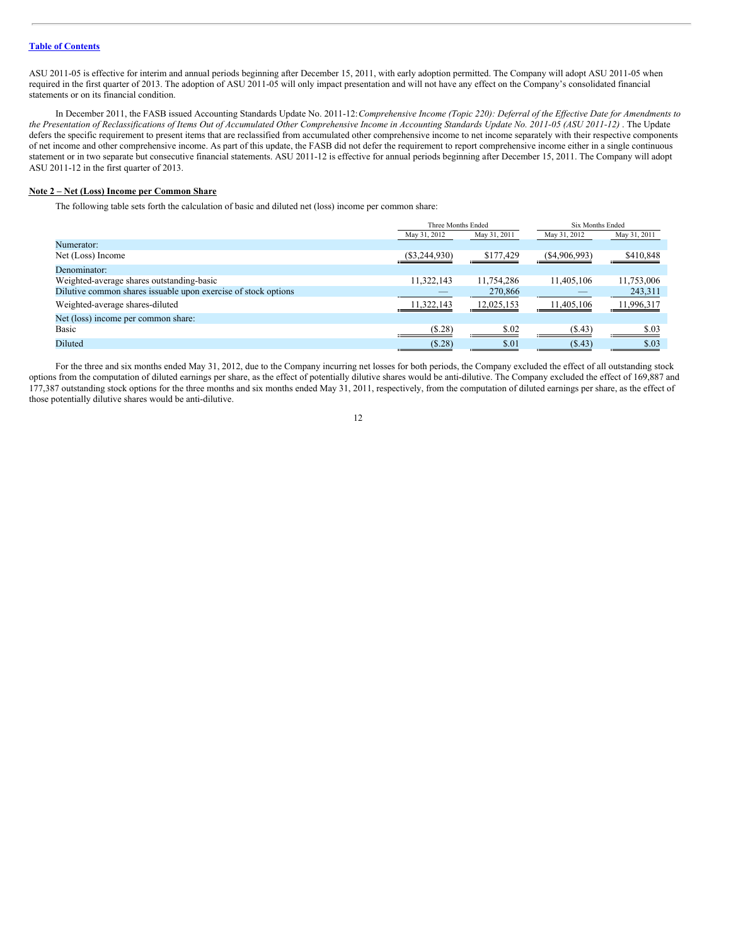ASU 2011-05 is effective for interim and annual periods beginning after December 15, 2011, with early adoption permitted. The Company will adopt ASU 2011-05 when required in the first quarter of 2013. The adoption of ASU 2011-05 will only impact presentation and will not have any effect on the Company's consolidated financial statements or on its financial condition.

In December 2011, the FASB issued Accounting Standards Update No. 2011-12: Comprehensive Income (Topic 220): Deferral of the Effective Date for Amendments to the Presentation of Reclassifications of Items Out of Accumulated Other Comprehensive Income in Accounting Standards Update No. 2011-05 (ASU 2011-12). The Update defers the specific requirement to present items that are reclassified from accumulated other comprehensive income to net income separately with their respective components of net income and other comprehensive income. As part of this update, the FASB did not defer the requirement to report comprehensive income either in a single continuous statement or in two separate but consecutive financial statements. ASU 2011-12 is effective for annual periods beginning after December 15, 2011. The Company will adopt ASU 2011-12 in the first quarter of 2013.

# **Note 2 – Net (Loss) Income per Common Share**

The following table sets forth the calculation of basic and diluted net (loss) income per common share:

|                                                                | Three Months Ended |              | <b>Six Months Ended</b> |              |
|----------------------------------------------------------------|--------------------|--------------|-------------------------|--------------|
|                                                                | May 31, 2012       | May 31, 2011 | May 31, 2012            | May 31, 2011 |
| Numerator:                                                     |                    |              |                         |              |
| Net (Loss) Income                                              | $(\$3,244,930)$    | \$177,429    | (\$4,906,993)           | \$410,848    |
| Denominator:                                                   |                    |              |                         |              |
| Weighted-average shares outstanding-basic                      | 11,322,143         | 11,754,286   | 11,405,106              | 11,753,006   |
| Dilutive common shares issuable upon exercise of stock options |                    | 270,866      |                         | 243,311      |
| Weighted-average shares-diluted                                | 11,322,143         | 12,025,153   | 11,405,106              | 11,996,317   |
| Net (loss) income per common share:                            |                    |              |                         |              |
| Basic                                                          | (S.28)             | \$.02        | (S.43)                  | \$.03        |
| Diluted                                                        | (\$.28)            | \$.01        | (\$.43)                 | \$.03        |

For the three and six months ended May 31, 2012, due to the Company incurring net losses for both periods, the Company excluded the effect of all outstanding stock options from the computation of diluted earnings per share, as the effect of potentially dilutive shares would be anti-dilutive. The Company excluded the effect of 169,887 and 177,387 outstanding stock options for the three months and six months ended May 31, 2011, respectively, from the computation of diluted earnings per share, as the effect of those potentially dilutive shares would be anti-dilutive.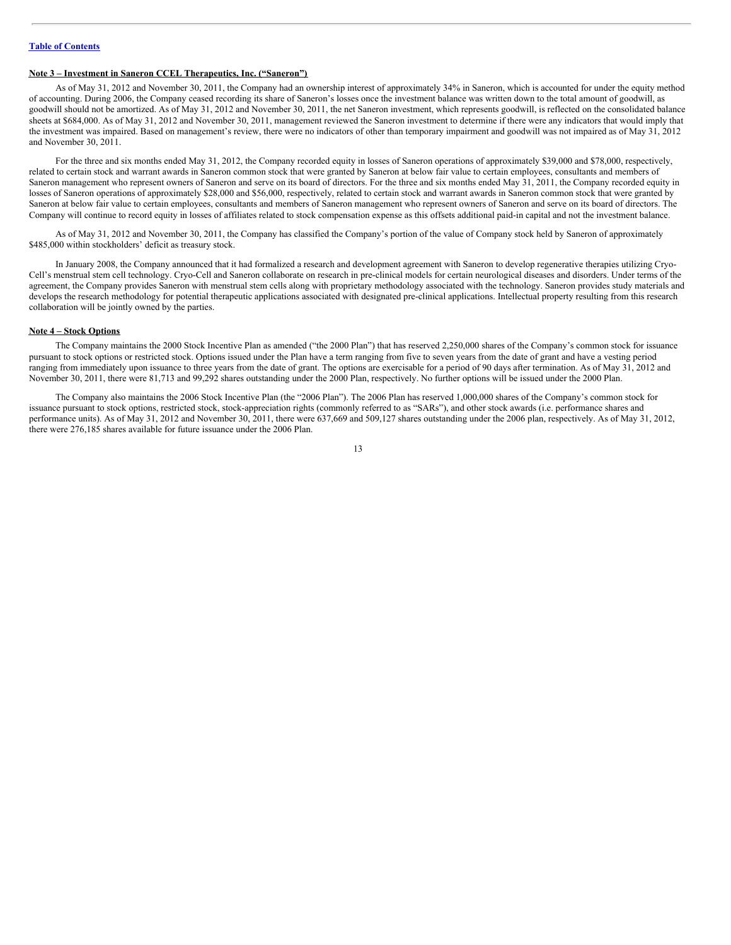# **Note 3 – Investment in Saneron CCEL Therapeutics, Inc. ("Saneron")**

As of May 31, 2012 and November 30, 2011, the Company had an ownership interest of approximately 34% in Saneron, which is accounted for under the equity method of accounting. During 2006, the Company ceased recording its share of Saneron's losses once the investment balance was written down to the total amount of goodwill, as goodwill should not be amortized. As of May 31, 2012 and November 30, 2011, the net Saneron investment, which represents goodwill, is reflected on the consolidated balance sheets at \$684,000. As of May 31, 2012 and November 30, 2011, management reviewed the Saneron investment to determine if there were any indicators that would imply that the investment was impaired. Based on management's review, there were no indicators of other than temporary impairment and goodwill was not impaired as of May 31, 2012 and November 30, 2011.

For the three and six months ended May 31, 2012, the Company recorded equity in losses of Saneron operations of approximately \$39,000 and \$78,000, respectively, related to certain stock and warrant awards in Saneron common stock that were granted by Saneron at below fair value to certain employees, consultants and members of Saneron management who represent owners of Saneron and serve on its board of directors. For the three and six months ended May 31, 2011, the Company recorded equity in losses of Saneron operations of approximately \$28,000 and \$56,000, respectively, related to certain stock and warrant awards in Saneron common stock that were granted by Saneron at below fair value to certain employees, consultants and members of Saneron management who represent owners of Saneron and serve on its board of directors. The Company will continue to record equity in losses of affiliates related to stock compensation expense as this offsets additional paid-in capital and not the investment balance.

As of May 31, 2012 and November 30, 2011, the Company has classified the Company's portion of the value of Company stock held by Saneron of approximately \$485,000 within stockholders' deficit as treasury stock.

In January 2008, the Company announced that it had formalized a research and development agreement with Saneron to develop regenerative therapies utilizing Cryo-Cell's menstrual stem cell technology. Cryo-Cell and Saneron collaborate on research in pre-clinical models for certain neurological diseases and disorders. Under terms of the agreement, the Company provides Saneron with menstrual stem cells along with proprietary methodology associated with the technology. Saneron provides study materials and develops the research methodology for potential therapeutic applications associated with designated pre-clinical applications. Intellectual property resulting from this research collaboration will be jointly owned by the parties.

#### **Note 4 – Stock Options**

The Company maintains the 2000 Stock Incentive Plan as amended ("the 2000 Plan") that has reserved 2,250,000 shares of the Company's common stock for issuance pursuant to stock options or restricted stock. Options issued under the Plan have a term ranging from five to seven years from the date of grant and have a vesting period ranging from immediately upon issuance to three years from the date of grant. The options are exercisable for a period of 90 days after termination. As of May 31, 2012 and November 30, 2011, there were 81,713 and 99,292 shares outstanding under the 2000 Plan, respectively. No further options will be issued under the 2000 Plan.

The Company also maintains the 2006 Stock Incentive Plan (the "2006 Plan"). The 2006 Plan has reserved 1,000,000 shares of the Company's common stock for issuance pursuant to stock options, restricted stock, stock-appreciation rights (commonly referred to as "SARs"), and other stock awards (i.e. performance shares and performance units). As of May 31, 2012 and November 30, 2011, there were 637,669 and 509,127 shares outstanding under the 2006 plan, respectively. As of May 31, 2012, there were 276,185 shares available for future issuance under the 2006 Plan.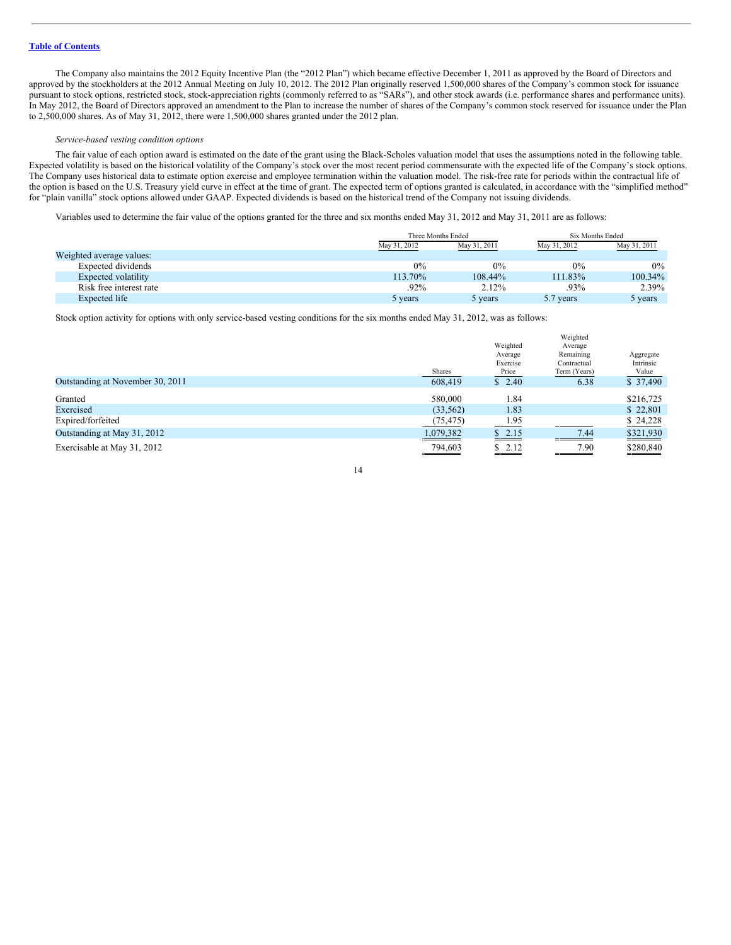The Company also maintains the 2012 Equity Incentive Plan (the "2012 Plan") which became effective December 1, 2011 as approved by the Board of Directors and approved by the stockholders at the 2012 Annual Meeting on July 10, 2012. The 2012 Plan originally reserved 1,500,000 shares of the Company's common stock for issuance pursuant to stock options, restricted stock, stock-appreciation rights (commonly referred to as "SARs"), and other stock awards (i.e. performance shares and performance units). In May 2012, the Board of Directors approved an amendment to the Plan to increase the number of shares of the Company's common stock reserved for issuance under the Plan to 2,500,000 shares. As of May 31, 2012, there were 1,500,000 shares granted under the 2012 plan.

#### *Service-based vesting condition options*

The fair value of each option award is estimated on the date of the grant using the Black-Scholes valuation model that uses the assumptions noted in the following table. Expected volatility is based on the historical volatility of the Company's stock over the most recent period commensurate with the expected life of the Company's stock options. The Company uses historical data to estimate option exercise and employee termination within the valuation model. The risk-free rate for periods within the contractual life of the option is based on the U.S. Treasury yield curve in effect at the time of grant. The expected term of options granted is calculated, in accordance with the "simplified method" for "plain vanilla" stock options allowed under GAAP. Expected dividends is based on the historical trend of the Company not issuing dividends.

Variables used to determine the fair value of the options granted for the three and six months ended May 31, 2012 and May 31, 2011 are as follows:

|                          |              | Three Months Ended |              | <b>Six Months Ended</b> |
|--------------------------|--------------|--------------------|--------------|-------------------------|
|                          | May 31, 2012 | May 31, 2011       | May 31, 2012 | May 31, 2011            |
| Weighted average values: |              |                    |              |                         |
| Expected dividends       | 0%           | 0%                 | 0%           | $0\%$                   |
| Expected volatility      | 113.70%      | 108.44%            | 111.83%      | $100.34\%$              |
| Risk free interest rate  | .92%         | 2.12%              | .93%         | 2.39%                   |
| Expected life            | 5 years      | 5 years            | 5.7 years    | 5 years                 |

Stock option activity for options with only service-based vesting conditions for the six months ended May 31, 2012, was as follows:

|                                  |           |          | Weighted     |                    |
|----------------------------------|-----------|----------|--------------|--------------------|
|                                  |           | Weighted | Average      |                    |
|                                  |           | Average  | Remaining    | Aggregate          |
|                                  |           | Exercise | Contractual  | Intrinsic          |
|                                  | Shares    | Price    | Term (Years) | Value              |
| Outstanding at November 30, 2011 | 608,419   | \$2.40   | 6.38         | \$37,490           |
| Granted                          | 580,000   | 1.84     |              | \$216,725          |
| Exercised                        | (33, 562) | 1.83     |              | \$22,801           |
| Expired/forfeited                | (75, 475) | 1.95     |              | \$24,228           |
| Outstanding at May 31, 2012      | 1,079,382 | \$2.15   | 7.44         | \$321,930          |
| Exercisable at May 31, 2012      | 794,603   | \$2.12   | 7.90         | \$280,840<br>_____ |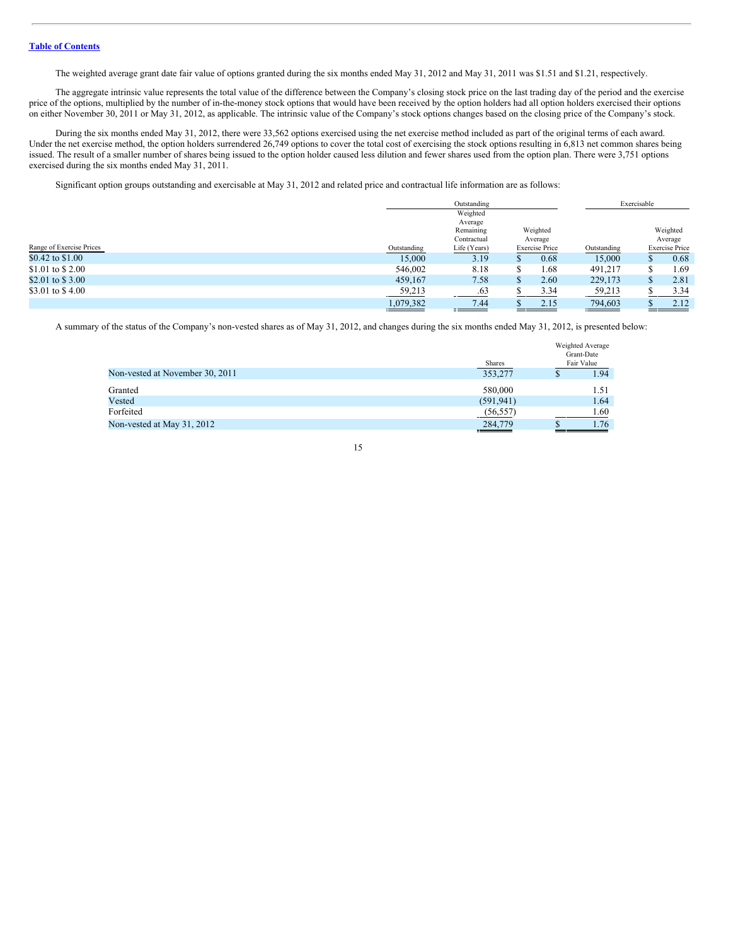The weighted average grant date fair value of options granted during the six months ended May 31, 2012 and May 31, 2011 was \$1.51 and \$1.21, respectively.

The aggregate intrinsic value represents the total value of the difference between the Company's closing stock price on the last trading day of the period and the exercise price of the options, multiplied by the number of in-the-money stock options that would have been received by the option holders had all option holders exercised their options on either November 30, 2011 or May 31, 2012, as applicable. The intrinsic value of the Company's stock options changes based on the closing price of the Company's stock.

During the six months ended May 31, 2012, there were 33,562 options exercised using the net exercise method included as part of the original terms of each award. Under the net exercise method, the option holders surrendered 26,749 options to cover the total cost of exercising the stock options resulting in 6,813 net common shares being issued. The result of a smaller number of shares being issued to the option holder caused less dilution and fewer shares used from the option plan. There were 3,751 options exercised during the six months ended May 31, 2011.

Significant option groups outstanding and exercisable at May 31, 2012 and related price and contractual life information are as follows:

|                          |             | Outstanding  |  |                       | Exercisable |  |                       |
|--------------------------|-------------|--------------|--|-----------------------|-------------|--|-----------------------|
|                          |             | Weighted     |  |                       |             |  |                       |
|                          |             | Average      |  |                       |             |  |                       |
|                          |             | Remaining    |  | Weighted              |             |  | Weighted              |
|                          |             | Contractual  |  | Average               |             |  | Average               |
| Range of Exercise Prices | Outstanding | Life (Years) |  | <b>Exercise Price</b> | Outstanding |  | <b>Exercise Price</b> |
| \$0.42 to \$1.00         | 15,000      | 3.19         |  | 0.68                  | 15,000      |  | 0.68                  |
| \$1.01 to \$2.00         | 546,002     | 8.18         |  | 1.68                  | 491.217     |  | 1.69                  |
| \$2.01 to \$3.00         | 459,167     | 7.58         |  | 2.60                  | 229,173     |  | 2.81                  |
| \$3.01 to \$4.00         | 59,213      | .63          |  | 3.34                  | 59,213      |  | 3.34                  |
|                          | 1,079,382   | 7.44         |  | 2.15                  | 794,603     |  | 2.12                  |

A summary of the status of the Company's non-vested shares as of May 31, 2012, and changes during the six months ended May 31, 2012, is presented below:

|                                 |            |    | Weighted Average<br>Grant-Date |
|---------------------------------|------------|----|--------------------------------|
|                                 | Shares     |    | Fair Value                     |
| Non-vested at November 30, 2011 | 353,277    | \$ | 1.94                           |
| Granted                         | 580,000    |    | 1.51                           |
| Vested                          | (591, 941) |    | 1.64                           |
| Forfeited                       | (56, 557)  |    | 1.60                           |
| Non-vested at May 31, 2012      | 284,779    | ъ  | 1.76                           |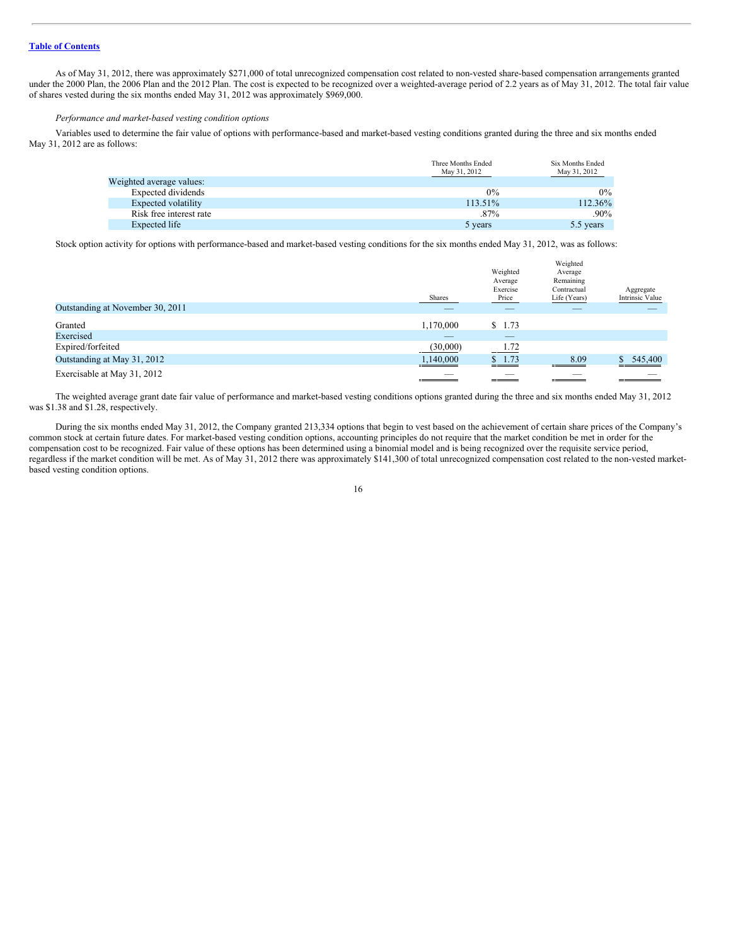As of May 31, 2012, there was approximately \$271,000 of total unrecognized compensation cost related to non-vested share-based compensation arrangements granted under the 2000 Plan, the 2006 Plan and the 2012 Plan. The cost is expected to be recognized over a weighted-average period of 2.2 years as of May 31, 2012. The total fair value of shares vested during the six months ended May 31, 2012 was approximately \$969,000.

#### *Performance and market-based vesting condition options*

Variables used to determine the fair value of options with performance-based and market-based vesting conditions granted during the three and six months ended May 31, 2012 are as follows:

|                          | Three Months Ended<br>May 31, 2012 | Six Months Ended<br>May 31, 2012 |
|--------------------------|------------------------------------|----------------------------------|
| Weighted average values: |                                    |                                  |
| Expected dividends       | $0\%$                              | $0\%$                            |
| Expected volatility      | 113.51%                            | 112.36%                          |
| Risk free interest rate  | $.87\%$                            | $.90\%$                          |
| Expected life            | 5 years                            | 5.5 years                        |

Stock option activity for options with performance-based and market-based vesting conditions for the six months ended May 31, 2012, was as follows:

|                                  | Shares    | Weighted<br>Average<br>Exercise<br>Price | Weighted<br>Average<br>Remaining<br>Contractual<br>Life (Years) | Aggregate<br>Intrinsic Value |
|----------------------------------|-----------|------------------------------------------|-----------------------------------------------------------------|------------------------------|
| Outstanding at November 30, 2011 |           |                                          |                                                                 |                              |
| Granted                          | 1,170,000 | \$1.73                                   |                                                                 |                              |
| Exercised                        | _         | _                                        |                                                                 |                              |
| Expired/forfeited                | (30,000)  | <u>1.72</u>                              |                                                                 |                              |
| Outstanding at May 31, 2012      | 1,140,000 | \$1.73                                   | 8.09                                                            | 545,400                      |
| Exercisable at May 31, 2012      |           |                                          |                                                                 |                              |

The weighted average grant date fair value of performance and market-based vesting conditions options granted during the three and six months ended May 31, 2012 was \$1.38 and \$1.28, respectively.

During the six months ended May 31, 2012, the Company granted 213,334 options that begin to vest based on the achievement of certain share prices of the Company's common stock at certain future dates. For market-based vesting condition options, accounting principles do not require that the market condition be met in order for the compensation cost to be recognized. Fair value of these options has been determined using a binomial model and is being recognized over the requisite service period, regardless if the market condition will be met. As of May 31, 2012 there was approximately \$141,300 of total unrecognized compensation cost related to the non-vested marketbased vesting condition options.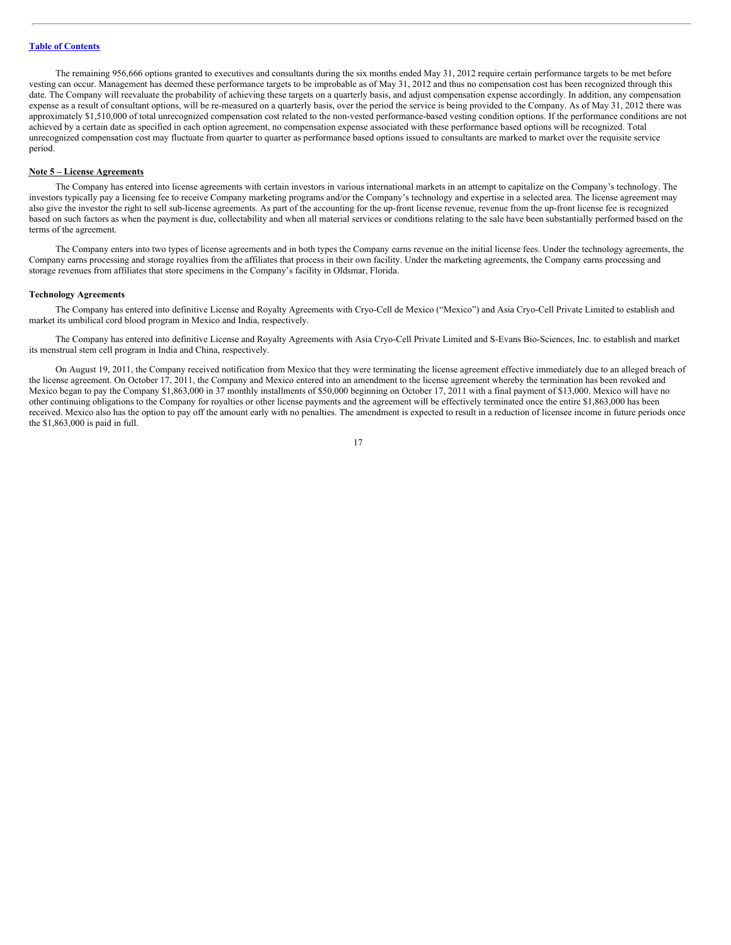The remaining 956,666 options granted to executives and consultants during the six months ended May 31, 2012 require certain performance targets to be met before vesting can occur. Management has deemed these performance targets to be improbable as of May 31, 2012 and thus no compensation cost has been recognized through this date. The Company will reevaluate the probability of achieving these targets on a quarterly basis, and adjust compensation expense accordingly. In addition, any compensation expense as a result of consultant options, will be re-measured on a quarterly basis, over the period the service is being provided to the Company. As of May 31, 2012 there was approximately \$1,510,000 of total unrecognized compensation cost related to the non-vested performance-based vesting condition options. If the performance conditions are not achieved by a certain date as specified in each option agreement, no compensation expense associated with these performance based options will be recognized. Total unrecognized compensation cost may fluctuate from quarter to quarter as performance based options issued to consultants are marked to market over the requisite service period.

#### **Note 5 – License Agreements**

The Company has entered into license agreements with certain investors in various international markets in an attempt to capitalize on the Company's technology. The investors typically pay a licensing fee to receive Company marketing programs and/or the Company's technology and expertise in a selected area. The license agreement may also give the investor the right to sell sub-license agreements. As part of the accounting for the up-front license revenue, revenue from the up-front license fee is recognized based on such factors as when the payment is due, collectability and when all material services or conditions relating to the sale have been substantially performed based on the terms of the agreement.

The Company enters into two types of license agreements and in both types the Company earns revenue on the initial license fees. Under the technology agreements, the Company earns processing and storage royalties from the affiliates that process in their own facility. Under the marketing agreements, the Company earns processing and storage revenues from affiliates that store specimens in the Company's facility in Oldsmar, Florida.

#### **Technology Agreements**

The Company has entered into definitive License and Royalty Agreements with Cryo-Cell de Mexico ("Mexico") and Asia Cryo-Cell Private Limited to establish and market its umbilical cord blood program in Mexico and India, respectively.

The Company has entered into definitive License and Royalty Agreements with Asia Cryo-Cell Private Limited and S-Evans Bio-Sciences, Inc. to establish and market its menstrual stem cell program in India and China, respectively.

On August 19, 2011, the Company received notification from Mexico that they were terminating the license agreement effective immediately due to an alleged breach of the license agreement. On October 17, 2011, the Company and Mexico entered into an amendment to the license agreement whereby the termination has been revoked and Mexico began to pay the Company \$1,863,000 in 37 monthly installments of \$50,000 beginning on October 17, 2011 with a final payment of \$13,000. Mexico will have no other continuing obligations to the Company for royalties or other license payments and the agreement will be effectively terminated once the entire \$1,863,000 has been received. Mexico also has the option to pay off the amount early with no penalties. The amendment is expected to result in a reduction of licensee income in future periods once the \$1,863,000 is paid in full.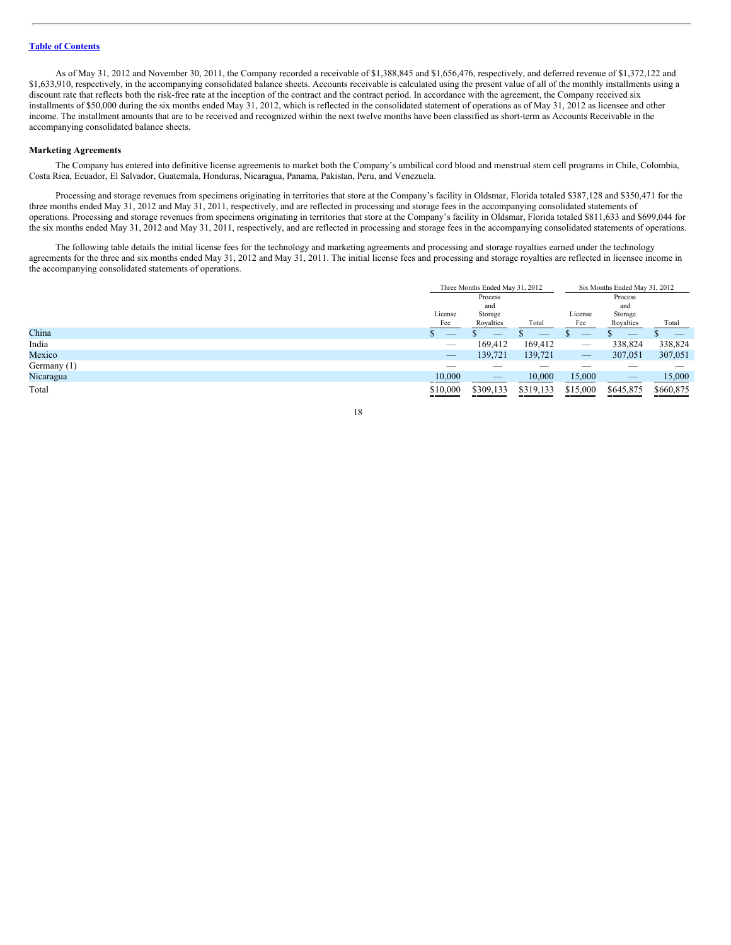As of May 31, 2012 and November 30, 2011, the Company recorded a receivable of \$1,388,845 and \$1,656,476, respectively, and deferred revenue of \$1,372,122 and \$1,633,910, respectively, in the accompanying consolidated balance sheets. Accounts receivable is calculated using the present value of all of the monthly installments using a discount rate that reflects both the risk-free rate at the inception of the contract and the contract period. In accordance with the agreement, the Company received six installments of \$50,000 during the six months ended May 31, 2012, which is reflected in the consolidated statement of operations as of May 31, 2012 as licensee and other income. The installment amounts that are to be received and recognized within the next twelve months have been classified as short-term as Accounts Receivable in the accompanying consolidated balance sheets.

#### **Marketing Agreements**

The Company has entered into definitive license agreements to market both the Company's umbilical cord blood and menstrual stem cell programs in Chile, Colombia, Costa Rica, Ecuador, El Salvador, Guatemala, Honduras, Nicaragua, Panama, Pakistan, Peru, and Venezuela.

Processing and storage revenues from specimens originating in territories that store at the Company's facility in Oldsmar, Florida totaled \$387,128 and \$350,471 for the three months ended May 31, 2012 and May 31, 2011, respectively, and are reflected in processing and storage fees in the accompanying consolidated statements of operations. Processing and storage revenues from specimens originating in territories that store at the Company's facility in Oldsmar, Florida totaled \$811,633 and \$699,044 for the six months ended May 31, 2012 and May 31, 2011, respectively, and are reflected in processing and storage fees in the accompanying consolidated statements of operations.

The following table details the initial license fees for the technology and marketing agreements and processing and storage royalties earned under the technology agreements for the three and six months ended May 31, 2012 and May 31, 2011. The initial license fees and processing and storage royalties are reflected in licensee income in the accompanying consolidated statements of operations.

|             | Three Months Ended May 31, 2012 |                          |           | Six Months Ended May 31, 2012   |                          |                          |  |
|-------------|---------------------------------|--------------------------|-----------|---------------------------------|--------------------------|--------------------------|--|
|             |                                 | Process                  |           |                                 | Process                  |                          |  |
|             |                                 | and                      |           |                                 | and                      |                          |  |
|             | License                         | Storage                  |           | License                         | Storage                  |                          |  |
|             | Fee                             | Royalties                | Total     | Fee                             | Royalties                | Total                    |  |
| China       | $-$<br>D                        | $\overline{\phantom{a}}$ |           | - 10-                           | _                        | $\overline{\phantom{a}}$ |  |
| India       | $\overline{\phantom{m}}$        | 169,412                  | 169,412   | $\hspace{0.1mm}-\hspace{0.1mm}$ | 338,824                  | 338,824                  |  |
| Mexico      | $\overbrace{\hspace{25mm}}^{}$  | 139,721                  | 139,721   | $\hspace{0.1mm}-\hspace{0.1mm}$ | 307,051                  | 307,051                  |  |
| Germany (1) | ___                             |                          | __        |                                 |                          |                          |  |
| Nicaragua   | 10,000                          |                          | 10,000    | 15,000                          | $\qquad \qquad - \qquad$ | 15,000                   |  |
| Total       | \$10,000                        | \$309,133                | \$319,133 | \$15,000                        | \$645,875                | \$660,875                |  |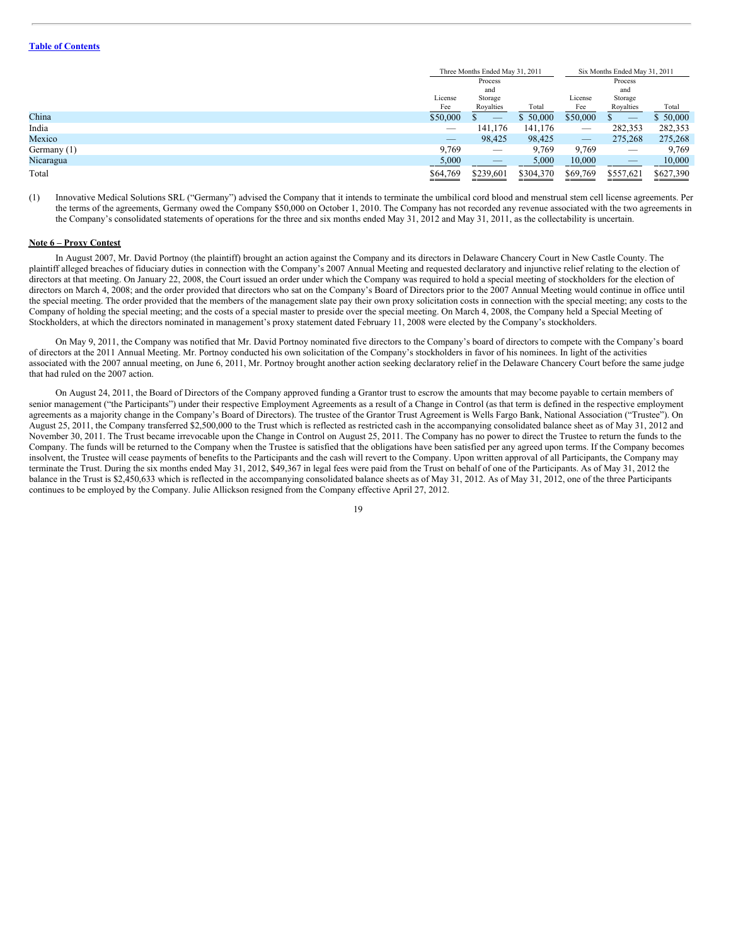|             |                                | Three Months Ended May 31, 2011 |           |                                 | Six Months Ended May 31, 2011   |           |  |
|-------------|--------------------------------|---------------------------------|-----------|---------------------------------|---------------------------------|-----------|--|
|             |                                | Process<br>and                  |           |                                 | Process<br>and                  |           |  |
|             |                                |                                 |           |                                 |                                 |           |  |
|             | License                        | Storage                         |           | License                         | Storage                         |           |  |
|             | Fee                            | Royalties                       | Total     | Fee                             | Royalties                       | Total     |  |
| China       | \$50,000                       |                                 | \$50,000  | \$50,000                        | $\overline{\phantom{m}}$        | \$50,000  |  |
| India       | _                              | 141,176                         | 141,176   | $\hspace{0.1mm}-\hspace{0.1mm}$ | 282,353                         | 282,353   |  |
| Mexico      | $\overbrace{\hspace{25mm}}^{}$ | 98,425                          | 98,425    | $\hspace{0.1mm}-\hspace{0.1mm}$ | 275,268                         | 275,268   |  |
| Germany (1) | 9,769                          | $\overbrace{\phantom{12333}}$   | 9,769     | 9,769                           | $\hspace{0.1mm}-\hspace{0.1mm}$ | 9,769     |  |
| Nicaragua   | 5,000                          | $\overline{\phantom{m}}$        | 5,000     | 10,000                          |                                 | 10,000    |  |
| Total       | \$64,769                       | \$239,601                       | \$304,370 | \$69,769                        | \$557,621                       | \$627,390 |  |

(1) Innovative Medical Solutions SRL ("Germany") advised the Company that it intends to terminate the umbilical cord blood and menstrual stem cell license agreements. Per the terms of the agreements, Germany owed the Company \$50,000 on October 1, 2010. The Company has not recorded any revenue associated with the two agreements in the Company's consolidated statements of operations for the three and six months ended May 31, 2012 and May 31, 2011, as the collectability is uncertain.

#### **Note 6 – Proxy Contest**

In August 2007, Mr. David Portnoy (the plaintiff) brought an action against the Company and its directors in Delaware Chancery Court in New Castle County. The plaintiff alleged breaches of fiduciary duties in connection with the Company's 2007 Annual Meeting and requested declaratory and injunctive relief relating to the election of directors at that meeting. On January 22, 2008, the Court issued an order under which the Company was required to hold a special meeting of stockholders for the election of directors on March 4, 2008; and the order provided that directors who sat on the Company's Board of Directors prior to the 2007 Annual Meeting would continue in office until the special meeting. The order provided that the members of the management slate pay their own proxy solicitation costs in connection with the special meeting; any costs to the Company of holding the special meeting; and the costs of a special master to preside over the special meeting. On March 4, 2008, the Company held a Special Meeting of Stockholders, at which the directors nominated in management's proxy statement dated February 11, 2008 were elected by the Company's stockholders.

On May 9, 2011, the Company was notified that Mr. David Portnoy nominated five directors to the Company's board of directors to compete with the Company's board of directors at the 2011 Annual Meeting. Mr. Portnoy conducted his own solicitation of the Company's stockholders in favor of his nominees. In light of the activities associated with the 2007 annual meeting, on June 6, 2011, Mr. Portnoy brought another action seeking declaratory relief in the Delaware Chancery Court before the same judge that had ruled on the 2007 action.

On August 24, 2011, the Board of Directors of the Company approved funding a Grantor trust to escrow the amounts that may become payable to certain members of senior management ("the Participants") under their respective Employment Agreements as a result of a Change in Control (as that term is defined in the respective employment agreements as a majority change in the Company's Board of Directors). The trustee of the Grantor Trust Agreement is Wells Fargo Bank, National Association ("Trustee"). On August 25, 2011, the Company transferred \$2,500,000 to the Trust which is reflected as restricted cash in the accompanying consolidated balance sheet as of May 31, 2012 and November 30, 2011. The Trust became irrevocable upon the Change in Control on August 25, 2011. The Company has no power to direct the Trustee to return the funds to the Company. The funds will be returned to the Company when the Trustee is satisfied that the obligations have been satisfied per any agreed upon terms. If the Company becomes insolvent, the Trustee will cease payments of benefits to the Participants and the cash will revert to the Company. Upon written approval of all Participants, the Company may terminate the Trust. During the six months ended May 31, 2012, \$49,367 in legal fees were paid from the Trust on behalf of one of the Participants. As of May 31, 2012 the balance in the Trust is \$2,450,633 which is reflected in the accompanying consolidated balance sheets as of May 31, 2012. As of May 31, 2012, one of the three Participants continues to be employed by the Company. Julie Allickson resigned from the Company effective April 27, 2012.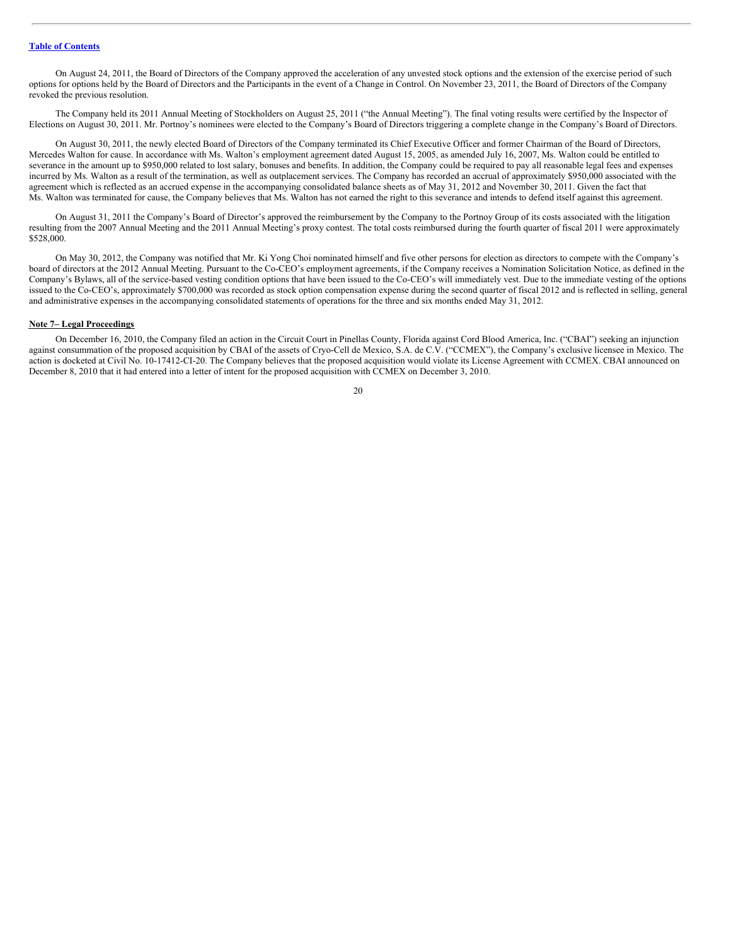On August 24, 2011, the Board of Directors of the Company approved the acceleration of any unvested stock options and the extension of the exercise period of such options for options held by the Board of Directors and the Participants in the event of a Change in Control. On November 23, 2011, the Board of Directors of the Company revoked the previous resolution.

The Company held its 2011 Annual Meeting of Stockholders on August 25, 2011 ("the Annual Meeting"). The final voting results were certified by the Inspector of Elections on August 30, 2011. Mr. Portnoy's nominees were elected to the Company's Board of Directors triggering a complete change in the Company's Board of Directors.

On August 30, 2011, the newly elected Board of Directors of the Company terminated its Chief Executive Officer and former Chairman of the Board of Directors, Mercedes Walton for cause. In accordance with Ms. Walton's employment agreement dated August 15, 2005, as amended July 16, 2007, Ms. Walton could be entitled to severance in the amount up to \$950,000 related to lost salary, bonuses and benefits. In addition, the Company could be required to pay all reasonable legal fees and expenses incurred by Ms. Walton as a result of the termination, as well as outplacement services. The Company has recorded an accrual of approximately \$950,000 associated with the agreement which is reflected as an accrued expense in the accompanying consolidated balance sheets as of May 31, 2012 and November 30, 2011. Given the fact that Ms. Walton was terminated for cause, the Company believes that Ms. Walton has not earned the right to this severance and intends to defend itself against this agreement.

On August 31, 2011 the Company's Board of Director's approved the reimbursement by the Company to the Portnoy Group of its costs associated with the litigation resulting from the 2007 Annual Meeting and the 2011 Annual Meeting's proxy contest. The total costs reimbursed during the fourth quarter of fiscal 2011 were approximately \$528,000.

On May 30, 2012, the Company was notified that Mr. Ki Yong Choi nominated himself and five other persons for election as directors to compete with the Company's board of directors at the 2012 Annual Meeting. Pursuant to the Co-CEO's employment agreements, if the Company receives a Nomination Solicitation Notice, as defined in the Company's Bylaws, all of the service-based vesting condition options that have been issued to the Co-CEO's will immediately vest. Due to the immediate vesting of the options issued to the Co-CEO's, approximately \$700,000 was recorded as stock option compensation expense during the second quarter of fiscal 2012 and is reflected in selling, general and administrative expenses in the accompanying consolidated statements of operations for the three and six months ended May 31, 2012.

#### **Note 7– Legal Proceedings**

On December 16, 2010, the Company filed an action in the Circuit Court in Pinellas County, Florida against Cord Blood America, Inc. ("CBAI") seeking an injunction against consummation of the proposed acquisition by CBAI of the assets of Cryo-Cell de Mexico, S.A. de C.V. ("CCMEX"), the Company's exclusive licensee in Mexico. The action is docketed at Civil No. 10-17412-CI-20. The Company believes that the proposed acquisition would violate its License Agreement with CCMEX. CBAI announced on December 8, 2010 that it had entered into a letter of intent for the proposed acquisition with CCMEX on December 3, 2010.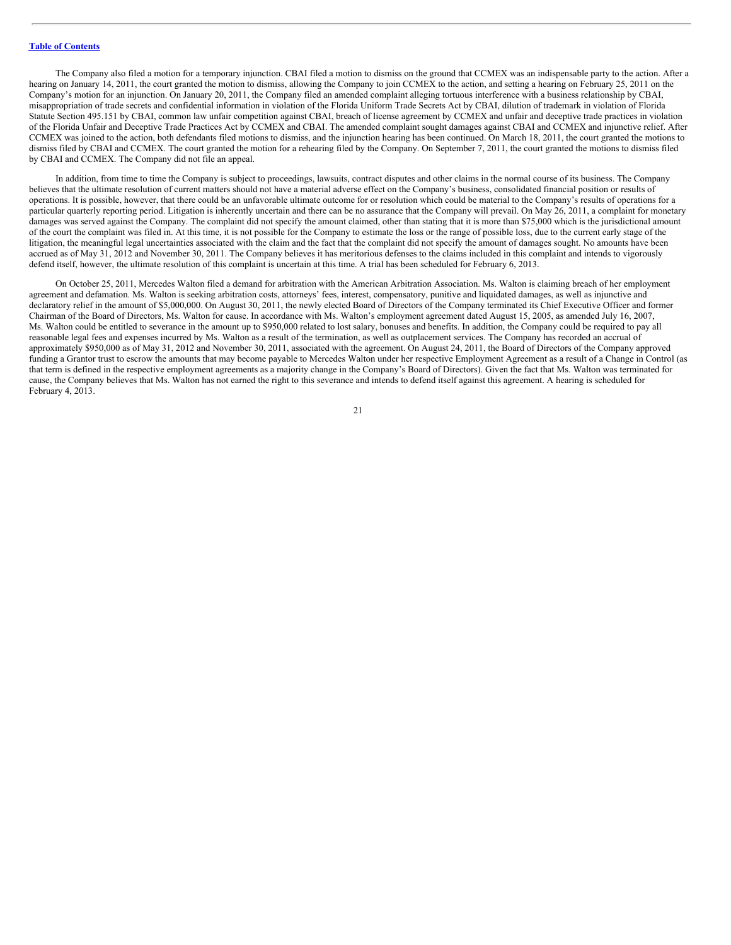The Company also filed a motion for a temporary injunction. CBAI filed a motion to dismiss on the ground that CCMEX was an indispensable party to the action. After a hearing on January 14, 2011, the court granted the motion to dismiss, allowing the Company to join CCMEX to the action, and setting a hearing on February 25, 2011 on the Company's motion for an injunction. On January 20, 2011, the Company filed an amended complaint alleging tortuous interference with a business relationship by CBAI, misappropriation of trade secrets and confidential information in violation of the Florida Uniform Trade Secrets Act by CBAI, dilution of trademark in violation of Florida Statute Section 495.151 by CBAI, common law unfair competition against CBAI, breach of license agreement by CCMEX and unfair and deceptive trade practices in violation of the Florida Unfair and Deceptive Trade Practices Act by CCMEX and CBAI. The amended complaint sought damages against CBAI and CCMEX and injunctive relief. After CCMEX was joined to the action, both defendants filed motions to dismiss, and the injunction hearing has been continued. On March 18, 2011, the court granted the motions to dismiss filed by CBAI and CCMEX. The court granted the motion for a rehearing filed by the Company. On September 7, 2011, the court granted the motions to dismiss filed by CBAI and CCMEX. The Company did not file an appeal.

In addition, from time to time the Company is subject to proceedings, lawsuits, contract disputes and other claims in the normal course of its business. The Company believes that the ultimate resolution of current matters should not have a material adverse effect on the Company's business, consolidated financial position or results of operations. It is possible, however, that there could be an unfavorable ultimate outcome for or resolution which could be material to the Company's results of operations for a particular quarterly reporting period. Litigation is inherently uncertain and there can be no assurance that the Company will prevail. On May 26, 2011, a complaint for monetary damages was served against the Company. The complaint did not specify the amount claimed, other than stating that it is more than \$75,000 which is the jurisdictional amount of the court the complaint was filed in. At this time, it is not possible for the Company to estimate the loss or the range of possible loss, due to the current early stage of the litigation, the meaningful legal uncertainties associated with the claim and the fact that the complaint did not specify the amount of damages sought. No amounts have been accrued as of May 31, 2012 and November 30, 2011. The Company believes it has meritorious defenses to the claims included in this complaint and intends to vigorously defend itself, however, the ultimate resolution of this complaint is uncertain at this time. A trial has been scheduled for February 6, 2013.

On October 25, 2011, Mercedes Walton filed a demand for arbitration with the American Arbitration Association. Ms. Walton is claiming breach of her employment agreement and defamation. Ms. Walton is seeking arbitration costs, attorneys' fees, interest, compensatory, punitive and liquidated damages, as well as injunctive and declaratory relief in the amount of \$5,000,000. On August 30, 2011, the newly elected Board of Directors of the Company terminated its Chief Executive Officer and former Chairman of the Board of Directors, Ms. Walton for cause. In accordance with Ms. Walton's employment agreement dated August 15, 2005, as amended July 16, 2007, Ms. Walton could be entitled to severance in the amount up to \$950,000 related to lost salary, bonuses and benefits. In addition, the Company could be required to pay all reasonable legal fees and expenses incurred by Ms. Walton as a result of the termination, as well as outplacement services. The Company has recorded an accrual of approximately \$950,000 as of May 31, 2012 and November 30, 2011, associated with the agreement. On August 24, 2011, the Board of Directors of the Company approved funding a Grantor trust to escrow the amounts that may become payable to Mercedes Walton under her respective Employment Agreement as a result of a Change in Control (as that term is defined in the respective employment agreements as a majority change in the Company's Board of Directors). Given the fact that Ms. Walton was terminated for cause, the Company believes that Ms. Walton has not earned the right to this severance and intends to defend itself against this agreement. A hearing is scheduled for February 4, 2013.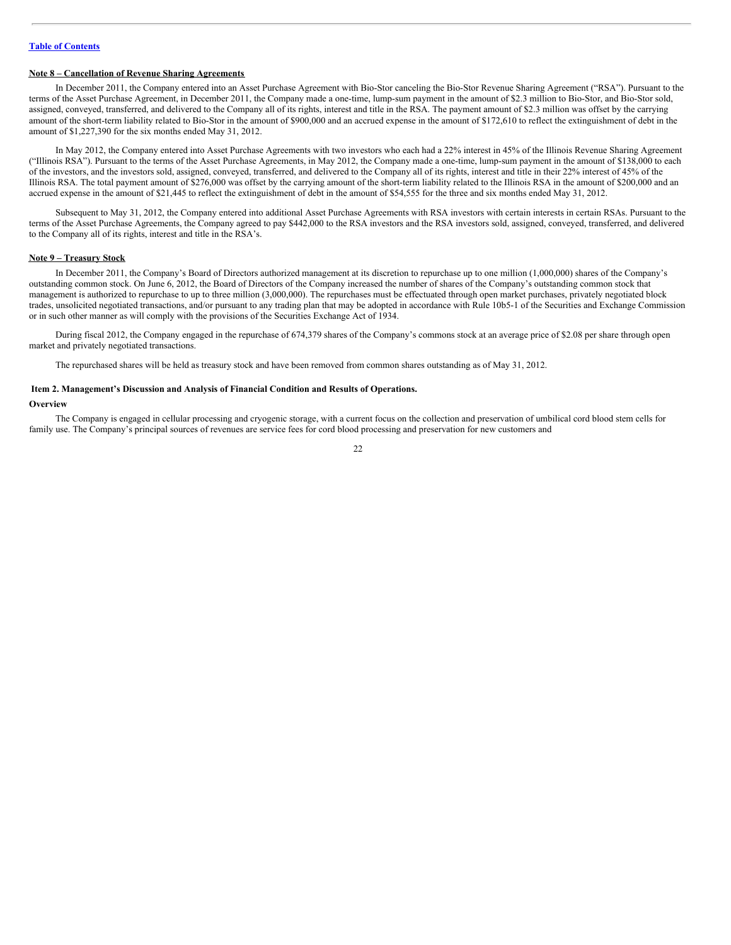# **Note 8 – Cancellation of Revenue Sharing Agreements**

In December 2011, the Company entered into an Asset Purchase Agreement with Bio-Stor canceling the Bio-Stor Revenue Sharing Agreement ("RSA"). Pursuant to the terms of the Asset Purchase Agreement, in December 2011, the Company made a one-time, lump-sum payment in the amount of \$2.3 million to Bio-Stor, and Bio-Stor sold, assigned, conveyed, transferred, and delivered to the Company all of its rights, interest and title in the RSA. The payment amount of \$2.3 million was offset by the carrying amount of the short-term liability related to Bio-Stor in the amount of \$900,000 and an accrued expense in the amount of \$172,610 to reflect the extinguishment of debt in the amount of \$1,227,390 for the six months ended May 31, 2012.

In May 2012, the Company entered into Asset Purchase Agreements with two investors who each had a 22% interest in 45% of the Illinois Revenue Sharing Agreement ("Illinois RSA"). Pursuant to the terms of the Asset Purchase Agreements, in May 2012, the Company made a one-time, lump-sum payment in the amount of \$138,000 to each of the investors, and the investors sold, assigned, conveyed, transferred, and delivered to the Company all of its rights, interest and title in their 22% interest of 45% of the Illinois RSA. The total payment amount of \$276,000 was offset by the carrying amount of the short-term liability related to the Illinois RSA in the amount of \$200,000 and an accrued expense in the amount of \$21,445 to reflect the extinguishment of debt in the amount of \$54,555 for the three and six months ended May 31, 2012.

Subsequent to May 31, 2012, the Company entered into additional Asset Purchase Agreements with RSA investors with certain interests in certain RSAs. Pursuant to the terms of the Asset Purchase Agreements, the Company agreed to pay \$442,000 to the RSA investors and the RSA investors sold, assigned, conveyed, transferred, and delivered to the Company all of its rights, interest and title in the RSA's.

#### **Note 9 – Treasury Stock**

In December 2011, the Company's Board of Directors authorized management at its discretion to repurchase up to one million (1,000,000) shares of the Company's outstanding common stock. On June 6, 2012, the Board of Directors of the Company increased the number of shares of the Company's outstanding common stock that management is authorized to repurchase to up to three million (3,000,000). The repurchases must be effectuated through open market purchases, privately negotiated block trades, unsolicited negotiated transactions, and/or pursuant to any trading plan that may be adopted in accordance with Rule 10b5-1 of the Securities and Exchange Commission or in such other manner as will comply with the provisions of the Securities Exchange Act of 1934.

During fiscal 2012, the Company engaged in the repurchase of 674,379 shares of the Company's commons stock at an average price of \$2.08 per share through open market and privately negotiated transactions.

The repurchased shares will be held as treasury stock and have been removed from common shares outstanding as of May 31, 2012.

#### <span id="page-21-0"></span>**Item 2. Management's Discussion and Analysis of Financial Condition and Results of Operations.**

#### **Overview**

The Company is engaged in cellular processing and cryogenic storage, with a current focus on the collection and preservation of umbilical cord blood stem cells for family use. The Company's principal sources of revenues are service fees for cord blood processing and preservation for new customers and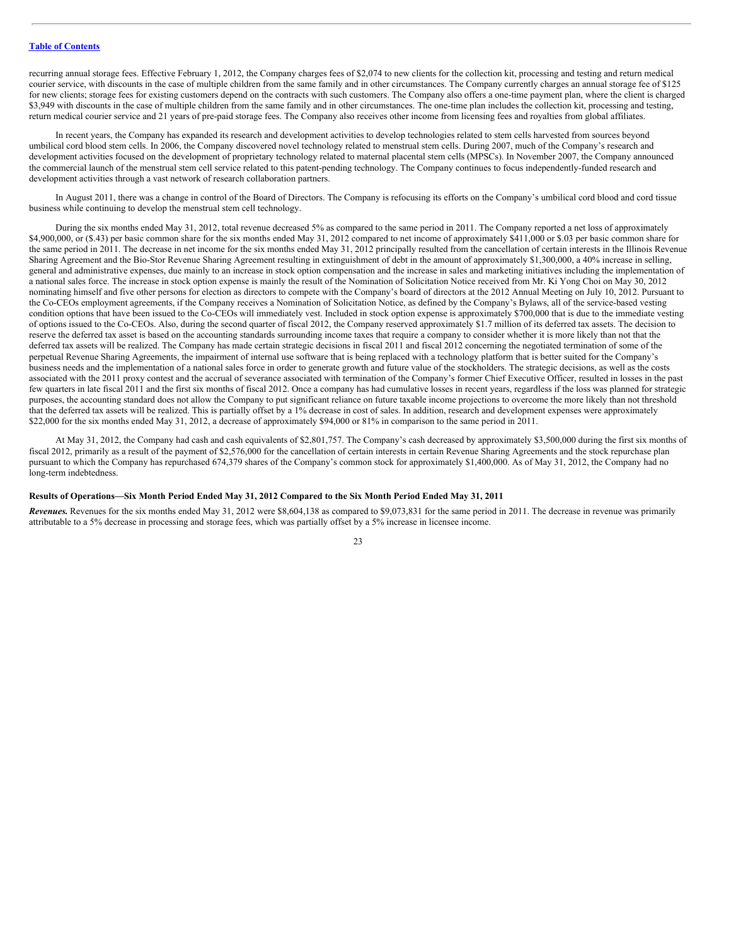recurring annual storage fees. Effective February 1, 2012, the Company charges fees of \$2,074 to new clients for the collection kit, processing and testing and return medical courier service, with discounts in the case of multiple children from the same family and in other circumstances. The Company currently charges an annual storage fee of \$125 for new clients; storage fees for existing customers depend on the contracts with such customers. The Company also offers a one-time payment plan, where the client is charged \$3,949 with discounts in the case of multiple children from the same family and in other circumstances. The one-time plan includes the collection kit, processing and testing, return medical courier service and 21 years of pre-paid storage fees. The Company also receives other income from licensing fees and royalties from global affiliates.

In recent years, the Company has expanded its research and development activities to develop technologies related to stem cells harvested from sources beyond umbilical cord blood stem cells. In 2006, the Company discovered novel technology related to menstrual stem cells. During 2007, much of the Company's research and development activities focused on the development of proprietary technology related to maternal placental stem cells (MPSCs). In November 2007, the Company announced the commercial launch of the menstrual stem cell service related to this patent-pending technology. The Company continues to focus independently-funded research and development activities through a vast network of research collaboration partners.

In August 2011, there was a change in control of the Board of Directors. The Company is refocusing its efforts on the Company's umbilical cord blood and cord tissue business while continuing to develop the menstrual stem cell technology.

During the six months ended May 31, 2012, total revenue decreased 5% as compared to the same period in 2011. The Company reported a net loss of approximately \$4,900,000, or (\$.43) per basic common share for the six months ended May 31, 2012 compared to net income of approximately \$411,000 or \$.03 per basic common share for the same period in 2011. The decrease in net income for the six months ended May 31, 2012 principally resulted from the cancellation of certain interests in the Illinois Revenue Sharing Agreement and the Bio-Stor Revenue Sharing Agreement resulting in extinguishment of debt in the amount of approximately \$1,300,000, a 40% increase in selling, general and administrative expenses, due mainly to an increase in stock option compensation and the increase in sales and marketing initiatives including the implementation of a national sales force. The increase in stock option expense is mainly the result of the Nomination of Solicitation Notice received from Mr. Ki Yong Choi on May 30, 2012 nominating himself and five other persons for election as directors to compete with the Company's board of directors at the 2012 Annual Meeting on July 10, 2012. Pursuant to the Co-CEOs employment agreements, if the Company receives a Nomination of Solicitation Notice, as defined by the Company's Bylaws, all of the service-based vesting condition options that have been issued to the Co-CEOs will immediately vest. Included in stock option expense is approximately \$700,000 that is due to the immediate vesting of options issued to the Co-CEOs. Also, during the second quarter of fiscal 2012, the Company reserved approximately \$1.7 million of its deferred tax assets. The decision to reserve the deferred tax asset is based on the accounting standards surrounding income taxes that require a company to consider whether it is more likely than not that the deferred tax assets will be realized. The Company has made certain strategic decisions in fiscal 2011 and fiscal 2012 concerning the negotiated termination of some of the perpetual Revenue Sharing Agreements, the impairment of internal use software that is being replaced with a technology platform that is better suited for the Company's business needs and the implementation of a national sales force in order to generate growth and future value of the stockholders. The strategic decisions, as well as the costs associated with the 2011 proxy contest and the accrual of severance associated with termination of the Company's former Chief Executive Officer, resulted in losses in the past few quarters in late fiscal 2011 and the first six months of fiscal 2012. Once a company has had cumulative losses in recent years, regardless if the loss was planned for strategic purposes, the accounting standard does not allow the Company to put significant reliance on future taxable income projections to overcome the more likely than not threshold that the deferred tax assets will be realized. This is partially offset by a 1% decrease in cost of sales. In addition, research and development expenses were approximately \$22,000 for the six months ended May 31, 2012, a decrease of approximately \$94,000 or 81% in comparison to the same period in 2011.

At May 31, 2012, the Company had cash and cash equivalents of \$2,801,757. The Company's cash decreased by approximately \$3,500,000 during the first six months of fiscal 2012, primarily as a result of the payment of \$2,576,000 for the cancellation of certain interests in certain Revenue Sharing Agreements and the stock repurchase plan pursuant to which the Company has repurchased 674,379 shares of the Company's common stock for approximately \$1,400,000. As of May 31, 2012, the Company had no long-term indebtedness.

#### Results of Operations-Six Month Period Ended May 31, 2012 Compared to the Six Month Period Ended May 31, 2011

*Revenues.* Revenues for the six months ended May 31, 2012 were \$8,604,138 as compared to \$9,073,831 for the same period in 2011. The decrease in revenue was primarily attributable to a 5% decrease in processing and storage fees, which was partially offset by a 5% increase in licensee income.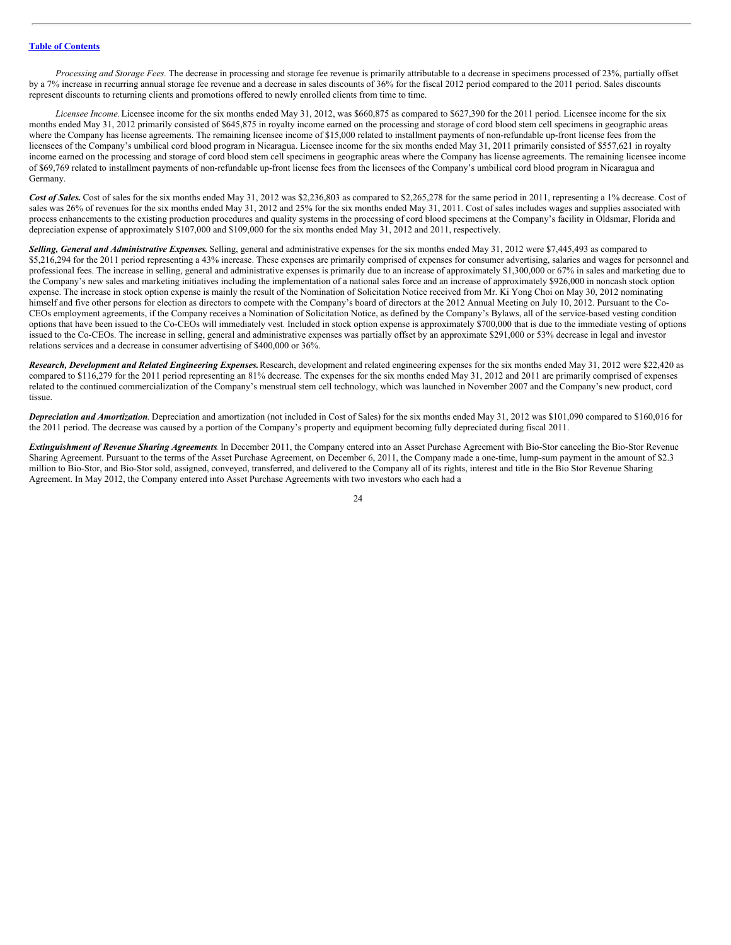*Processing and Storage Fees.* The decrease in processing and storage fee revenue is primarily attributable to a decrease in specimens processed of 23%, partially offset by a 7% increase in recurring annual storage fee revenue and a decrease in sales discounts of 36% for the fiscal 2012 period compared to the 2011 period. Sales discounts represent discounts to returning clients and promotions offered to newly enrolled clients from time to time.

*Licensee Income.*Licensee income for the six months ended May 31, 2012, was \$660,875 as compared to \$627,390 for the 2011 period. Licensee income for the six months ended May 31, 2012 primarily consisted of \$645,875 in royalty income earned on the processing and storage of cord blood stem cell specimens in geographic areas where the Company has license agreements. The remaining licensee income of \$15,000 related to installment payments of non-refundable up-front license fees from the licensees of the Company's umbilical cord blood program in Nicaragua. Licensee income for the six months ended May 31, 2011 primarily consisted of \$557,621 in royalty income earned on the processing and storage of cord blood stem cell specimens in geographic areas where the Company has license agreements. The remaining licensee income of \$69,769 related to installment payments of non-refundable up-front license fees from the licensees of the Company's umbilical cord blood program in Nicaragua and Germany.

Cost of Sales. Cost of sales for the six months ended May 31, 2012 was \$2,236,803 as compared to \$2,265,278 for the same period in 2011, representing a 1% decrease. Cost of sales was 26% of revenues for the six months ended May 31, 2012 and 25% for the six months ended May 31, 2011. Cost of sales includes wages and supplies associated with process enhancements to the existing production procedures and quality systems in the processing of cord blood specimens at the Company's facility in Oldsmar, Florida and depreciation expense of approximately \$107,000 and \$109,000 for the six months ended May 31, 2012 and 2011, respectively.

*Selling, General and Administrative Expenses.* Selling, general and administrative expenses for the six months ended May 31, 2012 were \$7,445,493 as compared to \$5,216,294 for the 2011 period representing a 43% increase. These expenses are primarily comprised of expenses for consumer advertising, salaries and wages for personnel and professional fees. The increase in selling, general and administrative expenses is primarily due to an increase of approximately \$1,300,000 or 67% in sales and marketing due to the Company's new sales and marketing initiatives including the implementation of a national sales force and an increase of approximately \$926,000 in noncash stock option expense. The increase in stock option expense is mainly the result of the Nomination of Solicitation Notice received from Mr. Ki Yong Choi on May 30, 2012 nominating himself and five other persons for election as directors to compete with the Company's board of directors at the 2012 Annual Meeting on July 10, 2012. Pursuant to the Co-CEOs employment agreements, if the Company receives a Nomination of Solicitation Notice, as defined by the Company's Bylaws, all of the service-based vesting condition options that have been issued to the Co-CEOs will immediately vest. Included in stock option expense is approximately \$700,000 that is due to the immediate vesting of options issued to the Co-CEOs. The increase in selling, general and administrative expenses was partially offset by an approximate \$291,000 or 53% decrease in legal and investor relations services and a decrease in consumer advertising of \$400,000 or 36%.

*Research, Development and Related Engineering Expenses.*Research, development and related engineering expenses for the six months ended May 31, 2012 were \$22,420 as compared to \$116,279 for the 2011 period representing an 81% decrease. The expenses for the six months ended May 31, 2012 and 2011 are primarily comprised of expenses related to the continued commercialization of the Company's menstrual stem cell technology, which was launched in November 2007 and the Company's new product, cord tissue.

*Depreciation and Amortization*. Depreciation and amortization (not included in Cost of Sales) for the six months ended May 31, 2012 was \$101,090 compared to \$160,016 for the 2011 period. The decrease was caused by a portion of the Company's property and equipment becoming fully depreciated during fiscal 2011.

*Extinguishment of Revenue Sharing Agreements*. In December 2011, the Company entered into an Asset Purchase Agreement with Bio-Stor canceling the Bio-Stor Revenue Sharing Agreement. Pursuant to the terms of the Asset Purchase Agreement, on December 6, 2011, the Company made a one-time, lump-sum payment in the amount of \$2.3 million to Bio-Stor, and Bio-Stor sold, assigned, conveyed, transferred, and delivered to the Company all of its rights, interest and title in the Bio Stor Revenue Sharing Agreement. In May 2012, the Company entered into Asset Purchase Agreements with two investors who each had a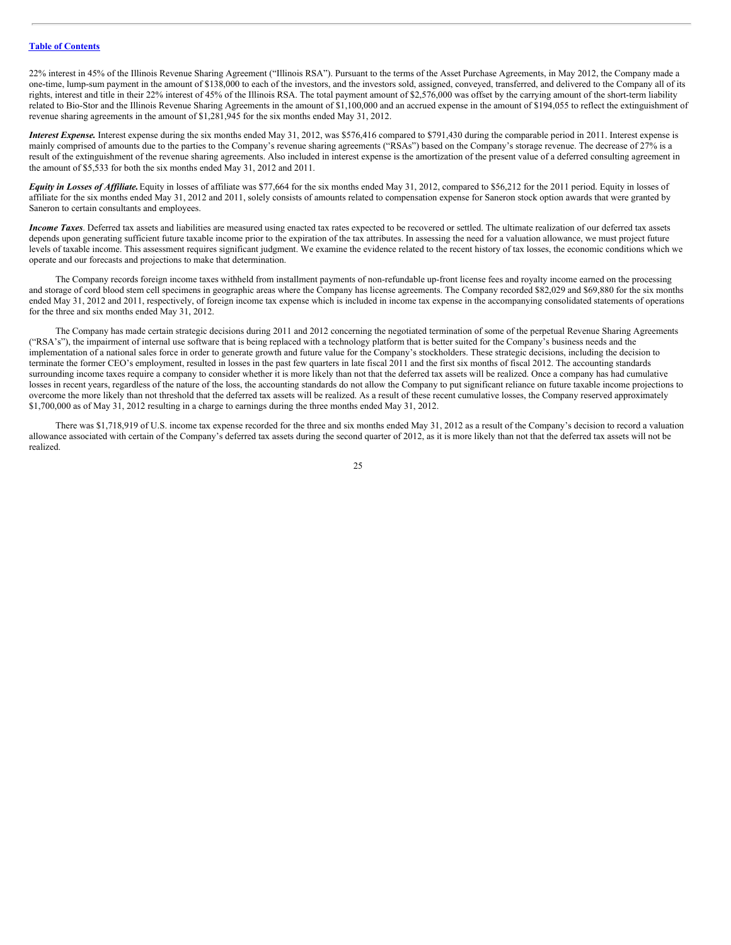22% interest in 45% of the Illinois Revenue Sharing Agreement ("Illinois RSA"). Pursuant to the terms of the Asset Purchase Agreements, in May 2012, the Company made a one-time, lump-sum payment in the amount of \$138,000 to each of the investors, and the investors sold, assigned, conveyed, transferred, and delivered to the Company all of its rights, interest and title in their 22% interest of 45% of the Illinois RSA. The total payment amount of \$2,576,000 was offset by the carrying amount of the short-term liability related to Bio-Stor and the Illinois Revenue Sharing Agreements in the amount of \$1,100,000 and an accrued expense in the amount of \$194,055 to reflect the extinguishment of revenue sharing agreements in the amount of \$1,281,945 for the six months ended May 31, 2012.

*Interest Expense.* Interest expense during the six months ended May 31, 2012, was \$576,416 compared to \$791,430 during the comparable period in 2011. Interest expense is mainly comprised of amounts due to the parties to the Company's revenue sharing agreements ("RSAs") based on the Company's storage revenue. The decrease of 27% is a result of the extinguishment of the revenue sharing agreements. Also included in interest expense is the amortization of the present value of a deferred consulting agreement in the amount of \$5,533 for both the six months ended May 31, 2012 and 2011.

*Equity in Losses of Affiliate.* Equity in losses of affiliate was \$77,664 for the six months ended May 31, 2012, compared to \$56,212 for the 2011 period. Equity in losses of affiliate for the six months ended May 31, 2012 and 2011, solely consists of amounts related to compensation expense for Saneron stock option awards that were granted by Saneron to certain consultants and employees.

*Income Taxes*. Deferred tax assets and liabilities are measured using enacted tax rates expected to be recovered or settled. The ultimate realization of our deferred tax assets depends upon generating sufficient future taxable income prior to the expiration of the tax attributes. In assessing the need for a valuation allowance, we must project future levels of taxable income. This assessment requires significant judgment. We examine the evidence related to the recent history of tax losses, the economic conditions which we operate and our forecasts and projections to make that determination.

The Company records foreign income taxes withheld from installment payments of non-refundable up-front license fees and royalty income earned on the processing and storage of cord blood stem cell specimens in geographic areas where the Company has license agreements. The Company recorded \$82,029 and \$69,880 for the six months ended May 31, 2012 and 2011, respectively, of foreign income tax expense which is included in income tax expense in the accompanying consolidated statements of operations for the three and six months ended May 31, 2012.

The Company has made certain strategic decisions during 2011 and 2012 concerning the negotiated termination of some of the perpetual Revenue Sharing Agreements ("RSA's"), the impairment of internal use software that is being replaced with a technology platform that is better suited for the Company's business needs and the implementation of a national sales force in order to generate growth and future value for the Company's stockholders. These strategic decisions, including the decision to terminate the former CEO's employment, resulted in losses in the past few quarters in late fiscal 2011 and the first six months of fiscal 2012. The accounting standards surrounding income taxes require a company to consider whether it is more likely than not that the deferred tax assets will be realized. Once a company has had cumulative losses in recent years, regardless of the nature of the loss, the accounting standards do not allow the Company to put significant reliance on future taxable income projections to overcome the more likely than not threshold that the deferred tax assets will be realized. As a result of these recent cumulative losses, the Company reserved approximately \$1,700,000 as of May 31, 2012 resulting in a charge to earnings during the three months ended May 31, 2012.

There was \$1,718,919 of U.S. income tax expense recorded for the three and six months ended May 31, 2012 as a result of the Company's decision to record a valuation allowance associated with certain of the Company's deferred tax assets during the second quarter of 2012, as it is more likely than not that the deferred tax assets will not be realized.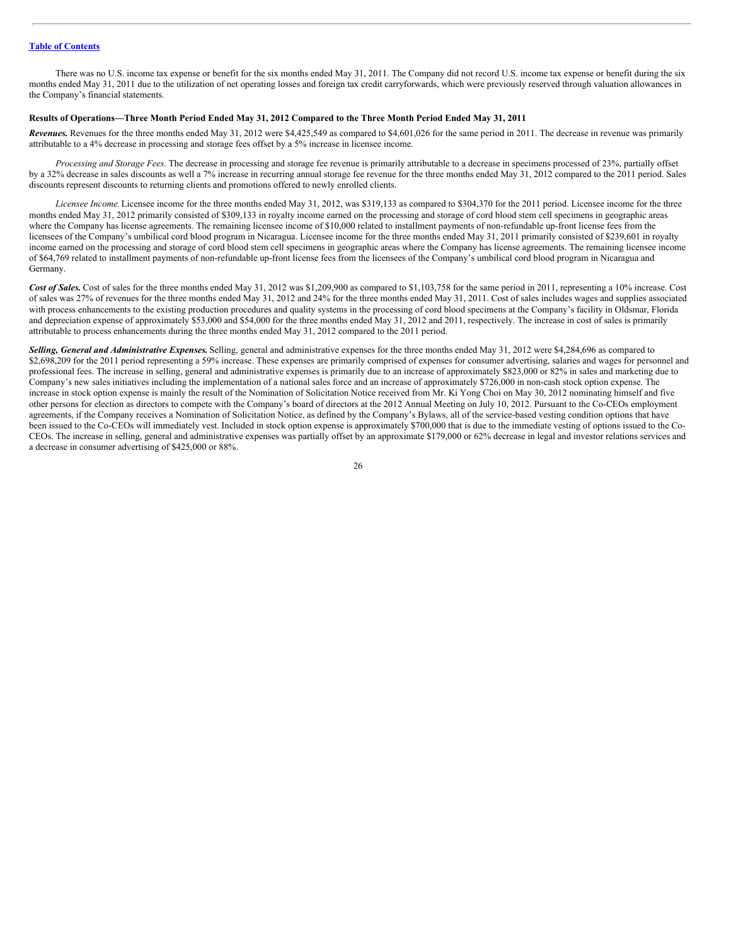There was no U.S. income tax expense or benefit for the six months ended May 31, 2011. The Company did not record U.S. income tax expense or benefit during the six months ended May 31, 2011 due to the utilization of net operating losses and foreign tax credit carryforwards, which were previously reserved through valuation allowances in the Company's financial statements.

#### Results of Operations-Three Month Period Ended May 31, 2012 Compared to the Three Month Period Ended May 31, 2011

*Revenues.* Revenues for the three months ended May 31, 2012 were \$4,425,549 as compared to \$4,601,026 for the same period in 2011. The decrease in revenue was primarily attributable to a 4% decrease in processing and storage fees offset by a 5% increase in licensee income.

*Processing and Storage Fees.* The decrease in processing and storage fee revenue is primarily attributable to a decrease in specimens processed of 23%, partially offset by a 32% decrease in sales discounts as well a 7% increase in recurring annual storage fee revenue for the three months ended May 31, 2012 compared to the 2011 period. Sales discounts represent discounts to returning clients and promotions offered to newly enrolled clients.

*Licensee Income.*Licensee income for the three months ended May 31, 2012, was \$319,133 as compared to \$304,370 for the 2011 period. Licensee income for the three months ended May 31, 2012 primarily consisted of \$309,133 in royalty income earned on the processing and storage of cord blood stem cell specimens in geographic areas where the Company has license agreements. The remaining licensee income of \$10,000 related to installment payments of non-refundable up-front license fees from the licensees of the Company's umbilical cord blood program in Nicaragua. Licensee income for the three months ended May 31, 2011 primarily consisted of \$239,601 in royalty income earned on the processing and storage of cord blood stem cell specimens in geographic areas where the Company has license agreements. The remaining licensee income of \$64,769 related to installment payments of non-refundable up-front license fees from the licensees of the Company's umbilical cord blood program in Nicaragua and Germany.

Cost of Sales. Cost of sales for the three months ended May 31, 2012 was \$1,209,900 as compared to \$1,103,758 for the same period in 2011, representing a 10% increase. Cost of sales was 27% of revenues for the three months ended May 31, 2012 and 24% for the three months ended May 31, 2011. Cost of sales includes wages and supplies associated with process enhancements to the existing production procedures and quality systems in the processing of cord blood specimens at the Company's facility in Oldsmar, Florida and depreciation expense of approximately \$53,000 and \$54,000 for the three months ended May 31, 2012 and 2011, respectively. The increase in cost of sales is primarily attributable to process enhancements during the three months ended May 31, 2012 compared to the 2011 period.

*Selling, General and Administrative Expenses.* Selling, general and administrative expenses for the three months ended May 31, 2012 were \$4,284,696 as compared to \$2,698,209 for the 2011 period representing a 59% increase. These expenses are primarily comprised of expenses for consumer advertising, salaries and wages for personnel and professional fees. The increase in selling, general and administrative expenses is primarily due to an increase of approximately \$823,000 or 82% in sales and marketing due to Company's new sales initiatives including the implementation of a national sales force and an increase of approximately \$726,000 in non-cash stock option expense. The increase in stock option expense is mainly the result of the Nomination of Solicitation Notice received from Mr. Ki Yong Choi on May 30, 2012 nominating himself and five other persons for election as directors to compete with the Company's board of directors at the 2012 Annual Meeting on July 10, 2012. Pursuant to the Co-CEOs employment agreements, if the Company receives a Nomination of Solicitation Notice, as defined by the Company's Bylaws, all of the service-based vesting condition options that have been issued to the Co-CEOs will immediately vest. Included in stock option expense is approximately \$700,000 that is due to the immediate vesting of options issued to the Co-CEOs. The increase in selling, general and administrative expenses was partially offset by an approximate \$179,000 or 62% decrease in legal and investor relations services and a decrease in consumer advertising of \$425,000 or 88%.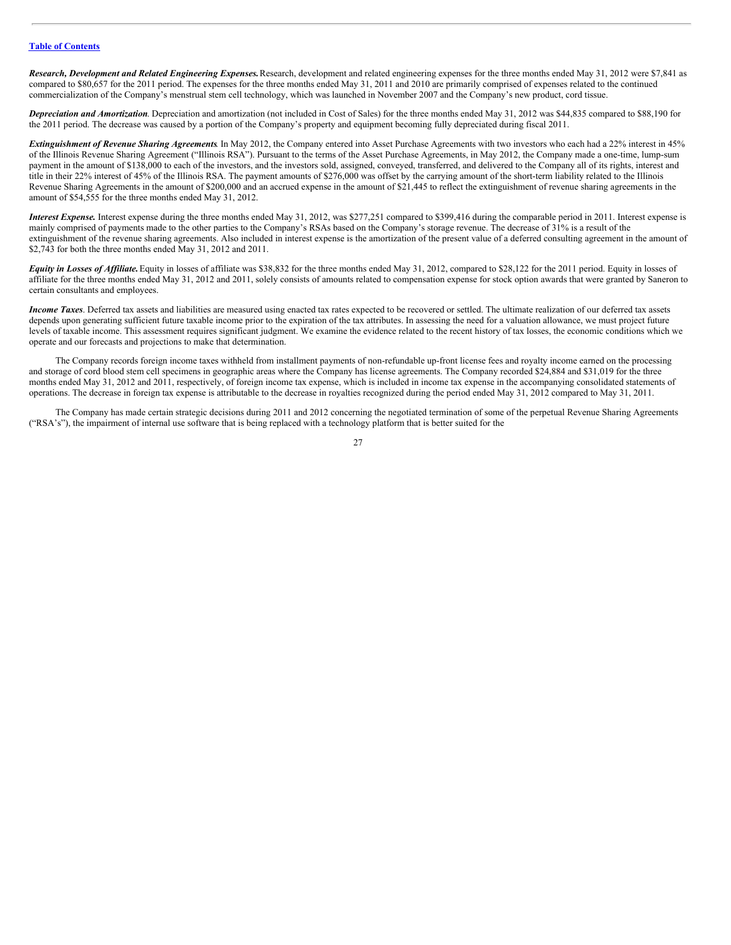*Research, Development and Related Engineering Expenses.*Research, development and related engineering expenses for the three months ended May 31, 2012 were \$7,841 as compared to \$80,657 for the 2011 period. The expenses for the three months ended May 31, 2011 and 2010 are primarily comprised of expenses related to the continued commercialization of the Company's menstrual stem cell technology, which was launched in November 2007 and the Company's new product, cord tissue.

*Depreciation and Amortization*. Depreciation and amortization (not included in Cost of Sales) for the three months ended May 31, 2012 was \$44,835 compared to \$88,190 for the 2011 period. The decrease was caused by a portion of the Company's property and equipment becoming fully depreciated during fiscal 2011.

*Extinguishment of Revenue Sharing Agreements*. In May 2012, the Company entered into Asset Purchase Agreements with two investors who each had a 22% interest in 45% of the Illinois Revenue Sharing Agreement ("Illinois RSA"). Pursuant to the terms of the Asset Purchase Agreements, in May 2012, the Company made a one-time, lump-sum payment in the amount of \$138,000 to each of the investors, and the investors sold, assigned, conveyed, transferred, and delivered to the Company all of its rights, interest and title in their 22% interest of 45% of the Illinois RSA. The payment amounts of \$276,000 was offset by the carrying amount of the short-term liability related to the Illinois Revenue Sharing Agreements in the amount of \$200,000 and an accrued expense in the amount of \$21,445 to reflect the extinguishment of revenue sharing agreements in the amount of \$54,555 for the three months ended May 31, 2012.

*Interest Expense.* Interest expense during the three months ended May 31, 2012, was \$277,251 compared to \$399,416 during the comparable period in 2011. Interest expense is mainly comprised of payments made to the other parties to the Company's RSAs based on the Company's storage revenue. The decrease of 31% is a result of the extinguishment of the revenue sharing agreements. Also included in interest expense is the amortization of the present value of a deferred consulting agreement in the amount of \$2,743 for both the three months ended May 31, 2012 and 2011.

Equity in Losses of Affiliate. Equity in losses of affiliate was \$38,832 for the three months ended May 31, 2012, compared to \$28,122 for the 2011 period. Equity in losses of affiliate for the three months ended May 31, 2012 and 2011, solely consists of amounts related to compensation expense for stock option awards that were granted by Saneron to certain consultants and employees.

*Income Taxes*. Deferred tax assets and liabilities are measured using enacted tax rates expected to be recovered or settled. The ultimate realization of our deferred tax assets depends upon generating sufficient future taxable income prior to the expiration of the tax attributes. In assessing the need for a valuation allowance, we must project future levels of taxable income. This assessment requires significant judgment. We examine the evidence related to the recent history of tax losses, the economic conditions which we operate and our forecasts and projections to make that determination.

The Company records foreign income taxes withheld from installment payments of non-refundable up-front license fees and royalty income earned on the processing and storage of cord blood stem cell specimens in geographic areas where the Company has license agreements. The Company recorded \$24,884 and \$31,019 for the three months ended May 31, 2012 and 2011, respectively, of foreign income tax expense, which is included in income tax expense in the accompanying consolidated statements of operations. The decrease in foreign tax expense is attributable to the decrease in royalties recognized during the period ended May 31, 2012 compared to May 31, 2011.

The Company has made certain strategic decisions during 2011 and 2012 concerning the negotiated termination of some of the perpetual Revenue Sharing Agreements ("RSA's"), the impairment of internal use software that is being replaced with a technology platform that is better suited for the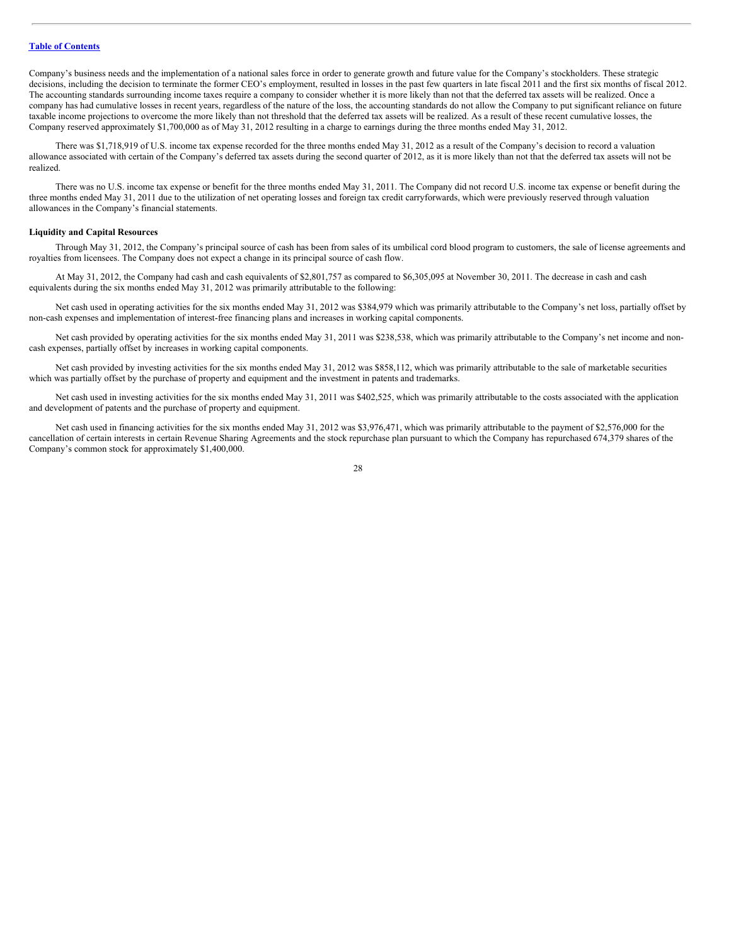Company's business needs and the implementation of a national sales force in order to generate growth and future value for the Company's stockholders. These strategic decisions, including the decision to terminate the former CEO's employment, resulted in losses in the past few quarters in late fiscal 2011 and the first six months of fiscal 2012. The accounting standards surrounding income taxes require a company to consider whether it is more likely than not that the deferred tax assets will be realized. Once a company has had cumulative losses in recent years, regardless of the nature of the loss, the accounting standards do not allow the Company to put significant reliance on future taxable income projections to overcome the more likely than not threshold that the deferred tax assets will be realized. As a result of these recent cumulative losses, the Company reserved approximately \$1,700,000 as of May 31, 2012 resulting in a charge to earnings during the three months ended May 31, 2012.

There was \$1,718,919 of U.S. income tax expense recorded for the three months ended May 31, 2012 as a result of the Company's decision to record a valuation allowance associated with certain of the Company's deferred tax assets during the second quarter of 2012, as it is more likely than not that the deferred tax assets will not be realized.

There was no U.S. income tax expense or benefit for the three months ended May 31, 2011. The Company did not record U.S. income tax expense or benefit during the three months ended May 31, 2011 due to the utilization of net operating losses and foreign tax credit carryforwards, which were previously reserved through valuation allowances in the Company's financial statements.

#### **Liquidity and Capital Resources**

Through May 31, 2012, the Company's principal source of cash has been from sales of its umbilical cord blood program to customers, the sale of license agreements and royalties from licensees. The Company does not expect a change in its principal source of cash flow.

At May 31, 2012, the Company had cash and cash equivalents of \$2,801,757 as compared to \$6,305,095 at November 30, 2011. The decrease in cash and cash equivalents during the six months ended May 31, 2012 was primarily attributable to the following:

Net cash used in operating activities for the six months ended May 31, 2012 was \$384,979 which was primarily attributable to the Company's net loss, partially offset by non-cash expenses and implementation of interest-free financing plans and increases in working capital components.

Net cash provided by operating activities for the six months ended May 31, 2011 was \$238,538, which was primarily attributable to the Company's net income and noncash expenses, partially offset by increases in working capital components.

Net cash provided by investing activities for the six months ended May 31, 2012 was \$858,112, which was primarily attributable to the sale of marketable securities which was partially offset by the purchase of property and equipment and the investment in patents and trademarks.

Net cash used in investing activities for the six months ended May 31, 2011 was \$402,525, which was primarily attributable to the costs associated with the application and development of patents and the purchase of property and equipment.

Net cash used in financing activities for the six months ended May 31, 2012 was \$3,976,471, which was primarily attributable to the payment of \$2,576,000 for the cancellation of certain interests in certain Revenue Sharing Agreements and the stock repurchase plan pursuant to which the Company has repurchased 674,379 shares of the Company's common stock for approximately \$1,400,000.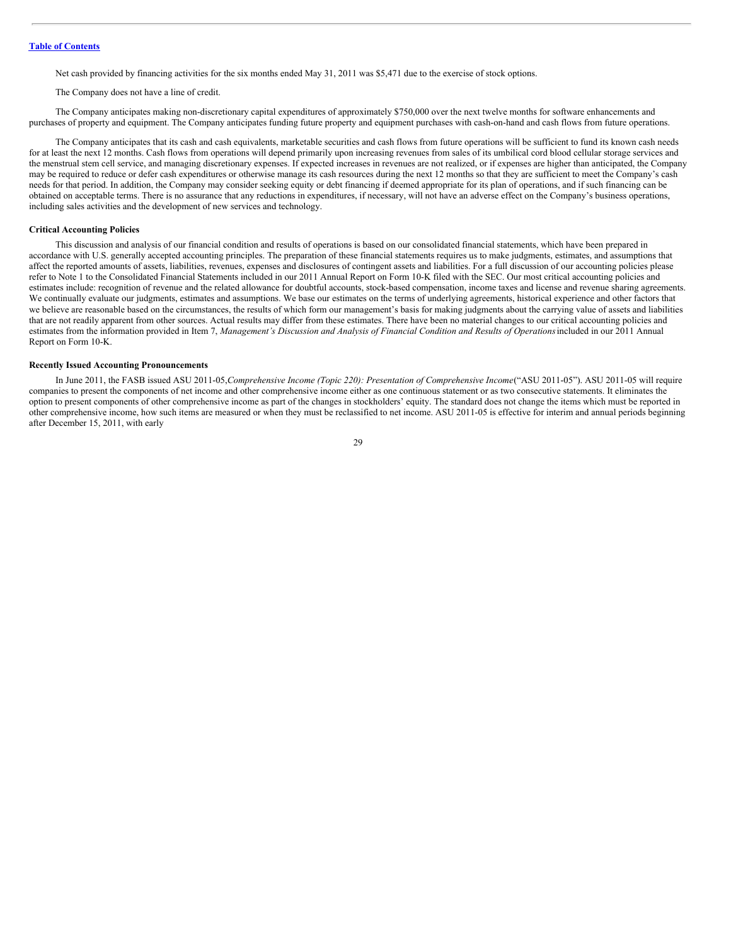Net cash provided by financing activities for the six months ended May 31, 2011 was \$5,471 due to the exercise of stock options.

The Company does not have a line of credit.

The Company anticipates making non-discretionary capital expenditures of approximately \$750,000 over the next twelve months for software enhancements and purchases of property and equipment. The Company anticipates funding future property and equipment purchases with cash-on-hand and cash flows from future operations.

The Company anticipates that its cash and cash equivalents, marketable securities and cash flows from future operations will be sufficient to fund its known cash needs for at least the next 12 months. Cash flows from operations will depend primarily upon increasing revenues from sales of its umbilical cord blood cellular storage services and the menstrual stem cell service, and managing discretionary expenses. If expected increases in revenues are not realized, or if expenses are higher than anticipated, the Company may be required to reduce or defer cash expenditures or otherwise manage its cash resources during the next 12 months so that they are sufficient to meet the Company's cash needs for that period. In addition, the Company may consider seeking equity or debt financing if deemed appropriate for its plan of operations, and if such financing can be obtained on acceptable terms. There is no assurance that any reductions in expenditures, if necessary, will not have an adverse effect on the Company's business operations, including sales activities and the development of new services and technology.

## **Critical Accounting Policies**

This discussion and analysis of our financial condition and results of operations is based on our consolidated financial statements, which have been prepared in accordance with U.S. generally accepted accounting principles. The preparation of these financial statements requires us to make judgments, estimates, and assumptions that affect the reported amounts of assets, liabilities, revenues, expenses and disclosures of contingent assets and liabilities. For a full discussion of our accounting policies please refer to Note 1 to the Consolidated Financial Statements included in our 2011 Annual Report on Form 10-K filed with the SEC. Our most critical accounting policies and estimates include: recognition of revenue and the related allowance for doubtful accounts, stock-based compensation, income taxes and license and revenue sharing agreements. We continually evaluate our judgments, estimates and assumptions. We base our estimates on the terms of underlying agreements, historical experience and other factors that we believe are reasonable based on the circumstances, the results of which form our management's basis for making judgments about the carrying value of assets and liabilities that are not readily apparent from other sources. Actual results may differ from these estimates. There have been no material changes to our critical accounting policies and estimates from the information provided in Item 7, Management's Discussion and Analysis of Financial Condition and Results of Operations included in our 2011 Annual Report on Form 10-K.

# **Recently Issued Accounting Pronouncements**

In June 2011, the FASB issued ASU 2011-05,*Comprehensive Income (Topic 220): Presentation of Comprehensive Income*("ASU 2011-05"). ASU 2011-05 will require companies to present the components of net income and other comprehensive income either as one continuous statement or as two consecutive statements. It eliminates the option to present components of other comprehensive income as part of the changes in stockholders' equity. The standard does not change the items which must be reported in other comprehensive income, how such items are measured or when they must be reclassified to net income. ASU 2011-05 is effective for interim and annual periods beginning after December 15, 2011, with early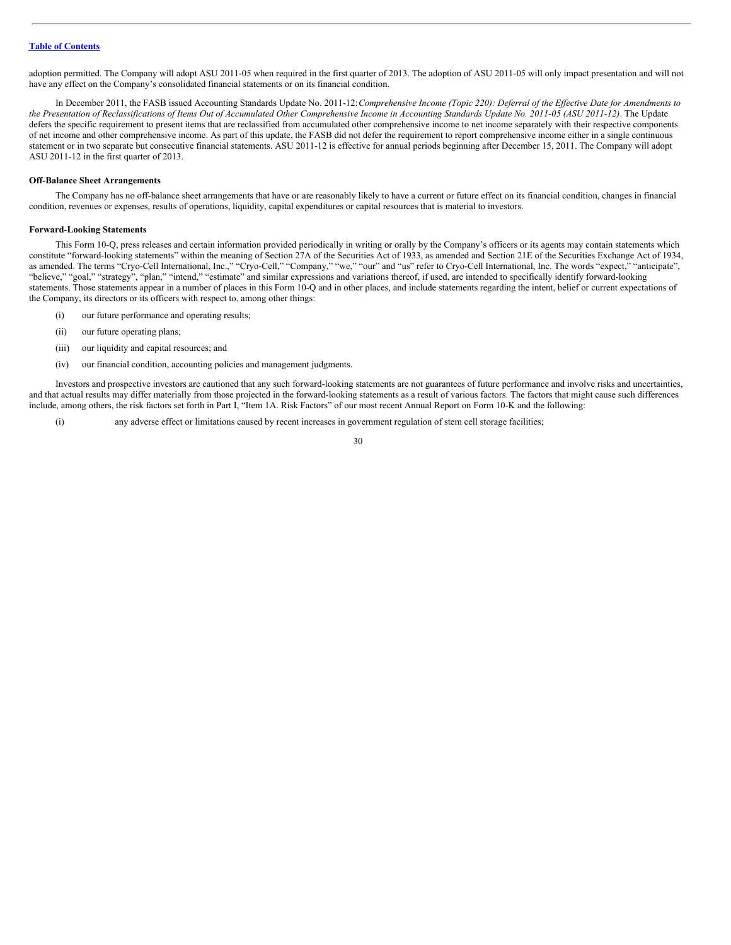adoption permitted. The Company will adopt ASU 2011-05 when required in the first quarter of 2013. The adoption of ASU 2011-05 will only impact presentation and will not have any effect on the Company's consolidated financial statements or on its financial condition.

In December 2011, the FASB issued Accounting Standards Update No. 2011-12: Comprehensive Income (Topic 220): Deferral of the Effective Date for Amendments to the Presentation of Reclassifications of Items Out of Accumulated Other Comprehensive Income in Accounting Standards Update No. 2011-05 (ASU 2011-12). The Update defers the specific requirement to present items that are reclassified from accumulated other comprehensive income to net income separately with their respective components of net income and other comprehensive income. As part of this update, the FASB did not defer the requirement to report comprehensive income either in a single continuous statement or in two separate but consecutive financial statements. ASU 2011-12 is effective for annual periods beginning after December 15, 2011. The Company will adopt ASU 2011-12 in the first quarter of 2013.

#### **Off-Balance Sheet Arrangements**

The Company has no off-balance sheet arrangements that have or are reasonably likely to have a current or future effect on its financial condition, changes in financial condition, revenues or expenses, results of operations, liquidity, capital expenditures or capital resources that is material to investors.

#### **Forward-Looking Statements**

This Form 10-Q, press releases and certain information provided periodically in writing or orally by the Company's officers or its agents may contain statements which constitute "forward-looking statements" within the meaning of Section 27A of the Securities Act of 1933, as amended and Section 21E of the Securities Exchange Act of 1934, as amended. The terms "Cryo-Cell International, Inc.," "Cryo-Cell," "Company," "we," "our" and "us" refer to Cryo-Cell International, Inc. The words "expect," "anticipate", "believe," "goal," "strategy", "plan," "intend," "estimate" and similar expressions and variations thereof, if used, are intended to specifically identify forward-looking statements. Those statements appear in a number of places in this Form 10-Q and in other places, and include statements regarding the intent, belief or current expectations of the Company, its directors or its officers with respect to, among other things:

- (i) our future performance and operating results;
- (ii) our future operating plans;
- (iii) our liquidity and capital resources; and
- (iv) our financial condition, accounting policies and management judgments.

Investors and prospective investors are cautioned that any such forward-looking statements are not guarantees of future performance and involve risks and uncertainties, and that actual results may differ materially from those projected in the forward-looking statements as a result of various factors. The factors that might cause such differences include, among others, the risk factors set forth in Part I, "Item 1A. Risk Factors" of our most recent Annual Report on Form 10-K and the following:

(i) any adverse effect or limitations caused by recent increases in government regulation of stem cell storage facilities;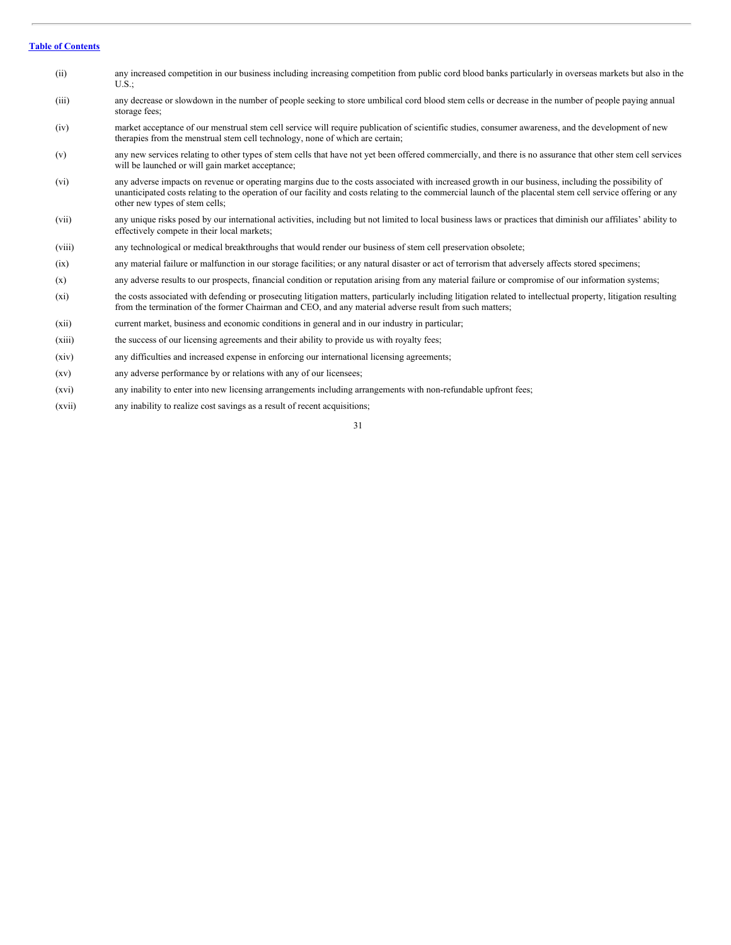| (ii)    | any increased competition in our business including increasing competition from public cord blood banks particularly in overseas markets but also in the<br>U.S.;                                                                                                                                                                                     |
|---------|-------------------------------------------------------------------------------------------------------------------------------------------------------------------------------------------------------------------------------------------------------------------------------------------------------------------------------------------------------|
| (iii)   | any decrease or slowdown in the number of people seeking to store umbilical cord blood stem cells or decrease in the number of people paying annual<br>storage fees;                                                                                                                                                                                  |
| (iv)    | market acceptance of our menstrual stem cell service will require publication of scientific studies, consumer awareness, and the development of new<br>therapies from the menstrual stem cell technology, none of which are certain;                                                                                                                  |
| (v)     | any new services relating to other types of stem cells that have not yet been offered commercially, and there is no assurance that other stem cell services<br>will be launched or will gain market acceptance;                                                                                                                                       |
| (vi)    | any adverse impacts on revenue or operating margins due to the costs associated with increased growth in our business, including the possibility of<br>unanticipated costs relating to the operation of our facility and costs relating to the commercial launch of the placental stem cell service offering or any<br>other new types of stem cells; |
| (vii)   | any unique risks posed by our international activities, including but not limited to local business laws or practices that diminish our affiliates' ability to<br>effectively compete in their local markets;                                                                                                                                         |
| (viii)  | any technological or medical breakthroughs that would render our business of stem cell preservation obsolete;                                                                                                                                                                                                                                         |
| (ix)    | any material failure or malfunction in our storage facilities; or any natural disaster or act of terrorism that adversely affects stored specimens;                                                                                                                                                                                                   |
| (x)     | any adverse results to our prospects, financial condition or reputation arising from any material failure or compromise of our information systems;                                                                                                                                                                                                   |
| $(x_i)$ | the costs associated with defending or prosecuting litigation matters, particularly including litigation related to intellectual property, litigation resulting<br>from the termination of the former Chairman and CEO, and any material adverse result from such matters;                                                                            |
| (xii)   | current market, business and economic conditions in general and in our industry in particular;                                                                                                                                                                                                                                                        |
| (xiii)  | the success of our licensing agreements and their ability to provide us with royalty fees;                                                                                                                                                                                                                                                            |
| (xiv)   | any difficulties and increased expense in enforcing our international licensing agreements;                                                                                                                                                                                                                                                           |
| (xv)    | any adverse performance by or relations with any of our licensees;                                                                                                                                                                                                                                                                                    |

- (xvi) any inability to enter into new licensing arrangements including arrangements with non-refundable upfront fees;
- (xvii) any inability to realize cost savings as a result of recent acquisitions;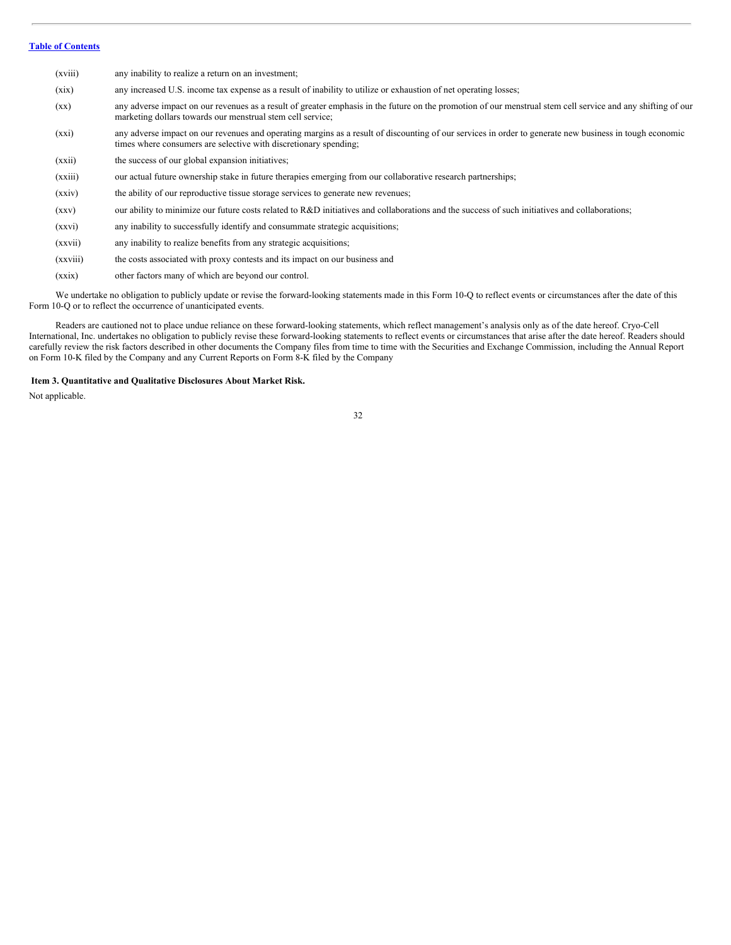(xviii) any inability to realize a return on an investment; (xix) any increased U.S. income tax expense as a result of inability to utilize or exhaustion of net operating losses; (xx) any adverse impact on our revenues as a result of greater emphasis in the future on the promotion of our menstrual stem cell service and any shifting of our marketing dollars towards our menstrual stem cell service; (xxi) any adverse impact on our revenues and operating margins as a result of discounting of our services in order to generate new business in tough economic times where consumers are selective with discretionary spending; (xxii) the success of our global expansion initiatives; (xxiii) our actual future ownership stake in future therapies emerging from our collaborative research partnerships; (xxiv) the ability of our reproductive tissue storage services to generate new revenues; (xxv) our ability to minimize our future costs related to R&D initiatives and collaborations and the success of such initiatives and collaborations; (xxvi) any inability to successfully identify and consummate strategic acquisitions; (xxvii) any inability to realize benefits from any strategic acquisitions; (xxviii) the costs associated with proxy contests and its impact on our business and (xxix) other factors many of which are beyond our control.

We undertake no obligation to publicly update or revise the forward-looking statements made in this Form 10-Q to reflect events or circumstances after the date of this Form 10-Q or to reflect the occurrence of unanticipated events.

Readers are cautioned not to place undue reliance on these forward-looking statements, which reflect management's analysis only as of the date hereof. Cryo-Cell International, Inc. undertakes no obligation to publicly revise these forward-looking statements to reflect events or circumstances that arise after the date hereof. Readers should carefully review the risk factors described in other documents the Company files from time to time with the Securities and Exchange Commission, including the Annual Report on Form 10-K filed by the Company and any Current Reports on Form 8-K filed by the Company

# <span id="page-31-0"></span>**Item 3. Quantitative and Qualitative Disclosures About Market Risk.**

Not applicable.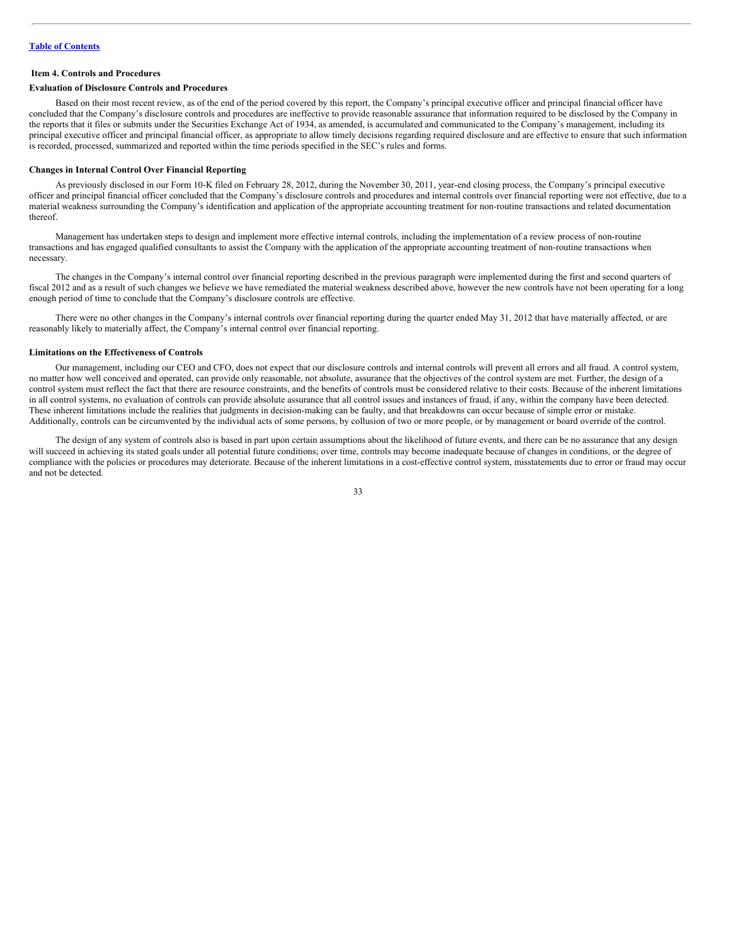#### <span id="page-32-0"></span>**Item 4. Controls and Procedures**

#### **Evaluation of Disclosure Controls and Procedures**

Based on their most recent review, as of the end of the period covered by this report, the Company's principal executive officer and principal financial officer have concluded that the Company's disclosure controls and procedures are ineffective to provide reasonable assurance that information required to be disclosed by the Company in the reports that it files or submits under the Securities Exchange Act of 1934, as amended, is accumulated and communicated to the Company's management, including its principal executive officer and principal financial officer, as appropriate to allow timely decisions regarding required disclosure and are effective to ensure that such information is recorded, processed, summarized and reported within the time periods specified in the SEC's rules and forms.

#### **Changes in Internal Control Over Financial Reporting**

As previously disclosed in our Form 10-K filed on February 28, 2012, during the November 30, 2011, year-end closing process, the Company's principal executive officer and principal financial officer concluded that the Company's disclosure controls and procedures and internal controls over financial reporting were not effective, due to a material weakness surrounding the Company's identification and application of the appropriate accounting treatment for non-routine transactions and related documentation thereof.

Management has undertaken steps to design and implement more effective internal controls, including the implementation of a review process of non-routine transactions and has engaged qualified consultants to assist the Company with the application of the appropriate accounting treatment of non-routine transactions when necessary.

The changes in the Company's internal control over financial reporting described in the previous paragraph were implemented during the first and second quarters of fiscal 2012 and as a result of such changes we believe we have remediated the material weakness described above, however the new controls have not been operating for a long enough period of time to conclude that the Company's disclosure controls are effective.

There were no other changes in the Company's internal controls over financial reporting during the quarter ended May 31, 2012 that have materially affected, or are reasonably likely to materially affect, the Company's internal control over financial reporting.

#### **Limitations on the Effectiveness of Controls**

Our management, including our CEO and CFO, does not expect that our disclosure controls and internal controls will prevent all errors and all fraud. A control system, no matter how well conceived and operated, can provide only reasonable, not absolute, assurance that the objectives of the control system are met. Further, the design of a control system must reflect the fact that there are resource constraints, and the benefits of controls must be considered relative to their costs. Because of the inherent limitations in all control systems, no evaluation of controls can provide absolute assurance that all control issues and instances of fraud, if any, within the company have been detected. These inherent limitations include the realities that judgments in decision-making can be faulty, and that breakdowns can occur because of simple error or mistake. Additionally, controls can be circumvented by the individual acts of some persons, by collusion of two or more people, or by management or board override of the control.

The design of any system of controls also is based in part upon certain assumptions about the likelihood of future events, and there can be no assurance that any design will succeed in achieving its stated goals under all potential future conditions; over time, controls may become inadequate because of changes in conditions, or the degree of compliance with the policies or procedures may deteriorate. Because of the inherent limitations in a cost-effective control system, misstatements due to error or fraud may occur and not be detected.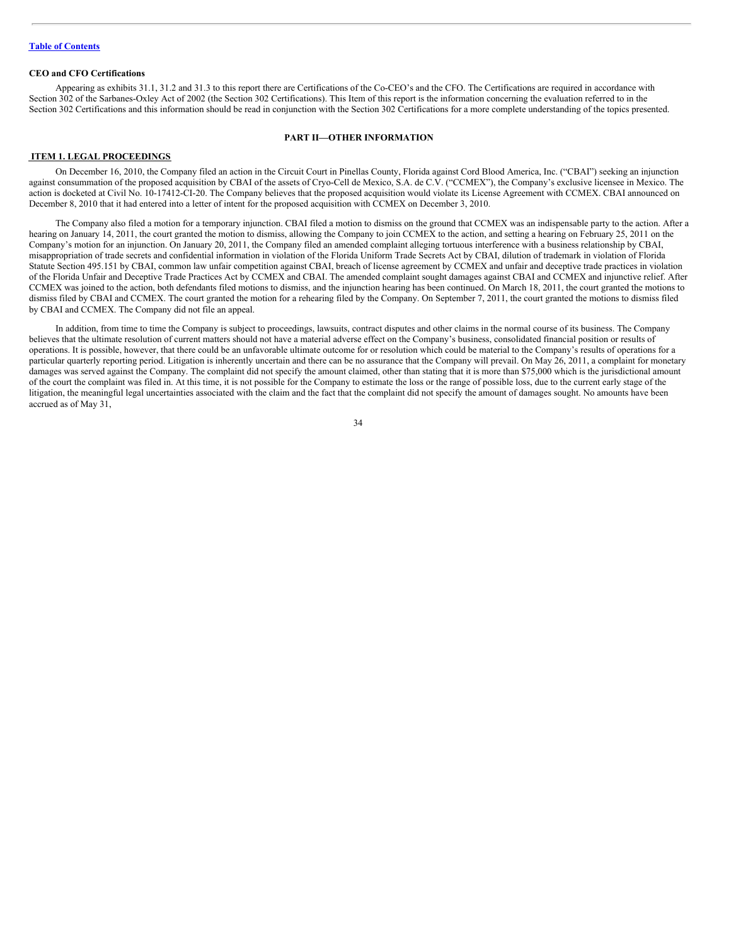### **CEO and CFO Certifications**

Appearing as exhibits 31.1, 31.2 and 31.3 to this report there are Certifications of the Co-CEO's and the CFO. The Certifications are required in accordance with Section 302 of the Sarbanes-Oxley Act of 2002 (the Section 302 Certifications). This Item of this report is the information concerning the evaluation referred to in the Section 302 Certifications and this information should be read in conjunction with the Section 302 Certifications for a more complete understanding of the topics presented.

# <span id="page-33-0"></span>**PART II—OTHER INFORMATION**

# <span id="page-33-1"></span>**ITEM 1. LEGAL PROCEEDINGS**

On December 16, 2010, the Company filed an action in the Circuit Court in Pinellas County, Florida against Cord Blood America, Inc. ("CBAI") seeking an injunction against consummation of the proposed acquisition by CBAI of the assets of Cryo-Cell de Mexico, S.A. de C.V. ("CCMEX"), the Company's exclusive licensee in Mexico. The action is docketed at Civil No. 10-17412-CI-20. The Company believes that the proposed acquisition would violate its License Agreement with CCMEX. CBAI announced on December 8, 2010 that it had entered into a letter of intent for the proposed acquisition with CCMEX on December 3, 2010.

The Company also filed a motion for a temporary injunction. CBAI filed a motion to dismiss on the ground that CCMEX was an indispensable party to the action. After a hearing on January 14, 2011, the court granted the motion to dismiss, allowing the Company to join CCMEX to the action, and setting a hearing on February 25, 2011 on the Company's motion for an injunction. On January 20, 2011, the Company filed an amended complaint alleging tortuous interference with a business relationship by CBAI, misappropriation of trade secrets and confidential information in violation of the Florida Uniform Trade Secrets Act by CBAI, dilution of trademark in violation of Florida Statute Section 495.151 by CBAI, common law unfair competition against CBAI, breach of license agreement by CCMEX and unfair and deceptive trade practices in violation of the Florida Unfair and Deceptive Trade Practices Act by CCMEX and CBAI. The amended complaint sought damages against CBAI and CCMEX and injunctive relief. After CCMEX was joined to the action, both defendants filed motions to dismiss, and the injunction hearing has been continued. On March 18, 2011, the court granted the motions to dismiss filed by CBAI and CCMEX. The court granted the motion for a rehearing filed by the Company. On September 7, 2011, the court granted the motions to dismiss filed by CBAI and CCMEX. The Company did not file an appeal.

In addition, from time to time the Company is subject to proceedings, lawsuits, contract disputes and other claims in the normal course of its business. The Company believes that the ultimate resolution of current matters should not have a material adverse effect on the Company's business, consolidated financial position or results of operations. It is possible, however, that there could be an unfavorable ultimate outcome for or resolution which could be material to the Company's results of operations for a particular quarterly reporting period. Litigation is inherently uncertain and there can be no assurance that the Company will prevail. On May 26, 2011, a complaint for monetary damages was served against the Company. The complaint did not specify the amount claimed, other than stating that it is more than \$75,000 which is the jurisdictional amount of the court the complaint was filed in. At this time, it is not possible for the Company to estimate the loss or the range of possible loss, due to the current early stage of the litigation, the meaningful legal uncertainties associated with the claim and the fact that the complaint did not specify the amount of damages sought. No amounts have been accrued as of May 31,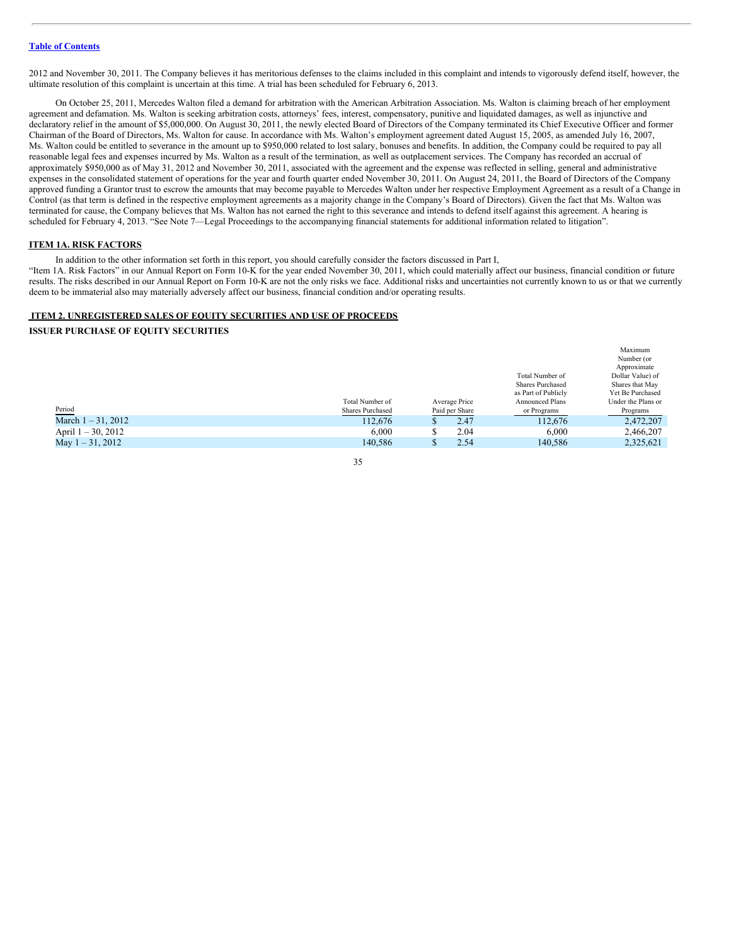2012 and November 30, 2011. The Company believes it has meritorious defenses to the claims included in this complaint and intends to vigorously defend itself, however, the ultimate resolution of this complaint is uncertain at this time. A trial has been scheduled for February 6, 2013.

On October 25, 2011, Mercedes Walton filed a demand for arbitration with the American Arbitration Association. Ms. Walton is claiming breach of her employment agreement and defamation. Ms. Walton is seeking arbitration costs, attorneys' fees, interest, compensatory, punitive and liquidated damages, as well as injunctive and declaratory relief in the amount of \$5,000,000. On August 30, 2011, the newly elected Board of Directors of the Company terminated its Chief Executive Officer and former Chairman of the Board of Directors, Ms. Walton for cause. In accordance with Ms. Walton's employment agreement dated August 15, 2005, as amended July 16, 2007, Ms. Walton could be entitled to severance in the amount up to \$950,000 related to lost salary, bonuses and benefits. In addition, the Company could be required to pay all reasonable legal fees and expenses incurred by Ms. Walton as a result of the termination, as well as outplacement services. The Company has recorded an accrual of approximately \$950,000 as of May 31, 2012 and November 30, 2011, associated with the agreement and the expense was reflected in selling, general and administrative expenses in the consolidated statement of operations for the year and fourth quarter ended November 30, 2011. On August 24, 2011, the Board of Directors of the Company approved funding a Grantor trust to escrow the amounts that may become payable to Mercedes Walton under her respective Employment Agreement as a result of a Change in Control (as that term is defined in the respective employment agreements as a majority change in the Company's Board of Directors). Given the fact that Ms. Walton was terminated for cause, the Company believes that Ms. Walton has not earned the right to this severance and intends to defend itself against this agreement. A hearing is scheduled for February 4, 2013. "See Note 7—Legal Proceedings to the accompanying financial statements for additional information related to litigation".

#### **ITEM 1A. RISK FACTORS**

In addition to the other information set forth in this report, you should carefully consider the factors discussed in Part I,

"Item 1A. Risk Factors" in our Annual Report on Form 10-K for the year ended November 30, 2011, which could materially affect our business, financial condition or future results. The risks described in our Annual Report on Form 10-K are not the only risks we face. Additional risks and uncertainties not currently known to us or that we currently deem to be immaterial also may materially adversely affect our business, financial condition and/or operating results.

# <span id="page-34-0"></span>**ITEM 2. UNREGISTERED SALES OF EQUITY SECURITIES AND USE OF PROCEEDS**

# **ISSUER PURCHASE OF EQUITY SECURITIES**

|                       |                  |                |                         | Maximum            |
|-----------------------|------------------|----------------|-------------------------|--------------------|
|                       |                  |                |                         | Number (or         |
|                       |                  |                |                         | Approximate        |
|                       |                  |                | Total Number of         | Dollar Value) of   |
|                       |                  |                | <b>Shares Purchased</b> | Shares that May    |
|                       |                  |                | as Part of Publicly     | Yet Be Purchased   |
|                       | Total Number of  | Average Price  | <b>Announced Plans</b>  | Under the Plans or |
| Period                | Shares Purchased | Paid per Share | or Programs             | Programs           |
| March $1 - 31, 2012$  | 112,676          | 2.47           | 112,676                 | 2,472,207          |
| April $1 - 30$ , 2012 | 6.000            | 2.04           | 6,000                   | 2,466,207          |
| May $1 - 31$ , 2012   | 140,586          | 2.54           | 140.586                 | 2,325,621          |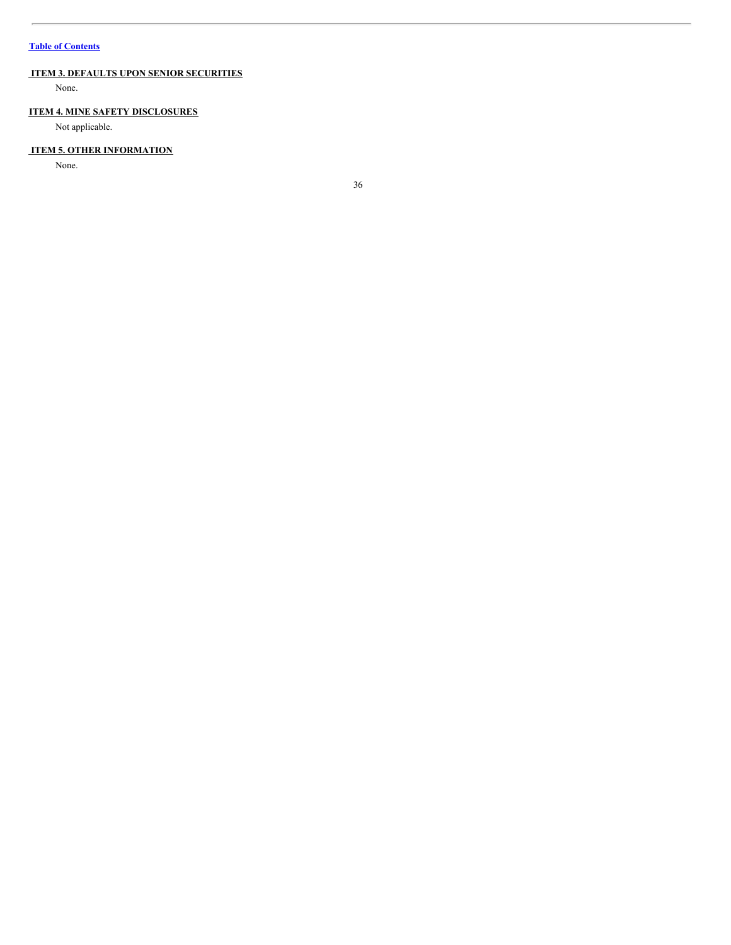# <span id="page-35-0"></span>**ITEM 3. DEFAULTS UPON SENIOR SECURITIES**

None.

# **ITEM 4. MINE SAFETY DISCLOSURES**

Not applicable.

# <span id="page-35-1"></span>**ITEM 5. OTHER INFORMATION**

None.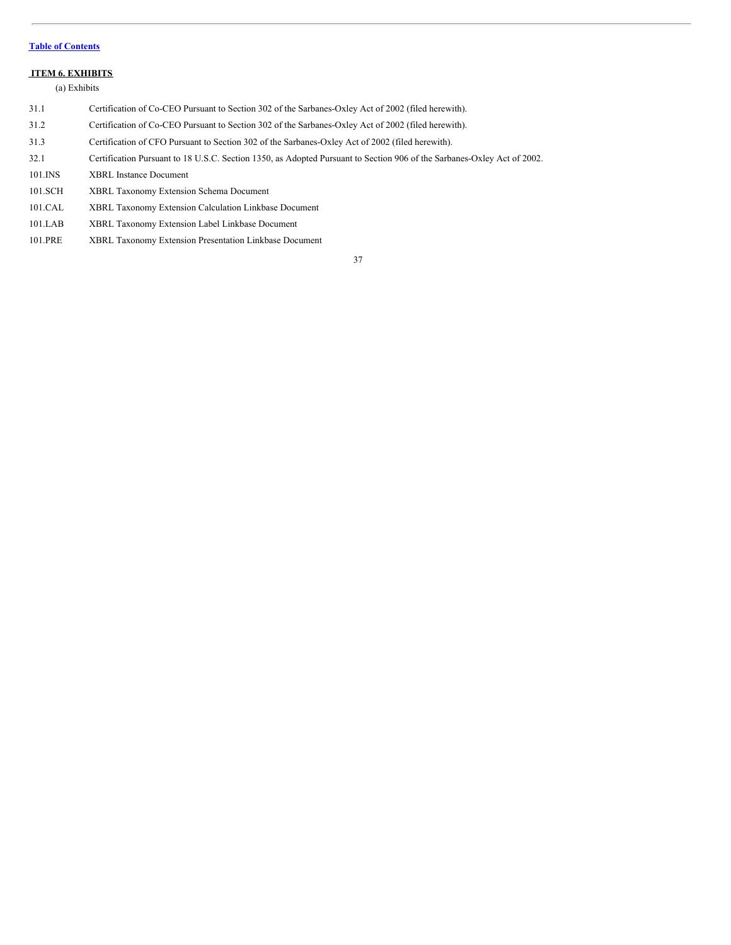# <span id="page-36-0"></span>**ITEM 6. EXHIBITS**

(a) Exhibits

- 31.1 Certification of Co-CEO Pursuant to Section 302 of the Sarbanes-Oxley Act of 2002 (filed herewith).
- 31.2 Certification of Co-CEO Pursuant to Section 302 of the Sarbanes-Oxley Act of 2002 (filed herewith).
- 31.3 Certification of CFO Pursuant to Section 302 of the Sarbanes-Oxley Act of 2002 (filed herewith).
- 32.1 Certification Pursuant to 18 U.S.C. Section 1350, as Adopted Pursuant to Section 906 of the Sarbanes-Oxley Act of 2002.
- 101.INS XBRL Instance Document
- 101.SCH XBRL Taxonomy Extension Schema Document
- 101.CAL XBRL Taxonomy Extension Calculation Linkbase Document
- 101.LAB XBRL Taxonomy Extension Label Linkbase Document
- 101.PRE XBRL Taxonomy Extension Presentation Linkbase Document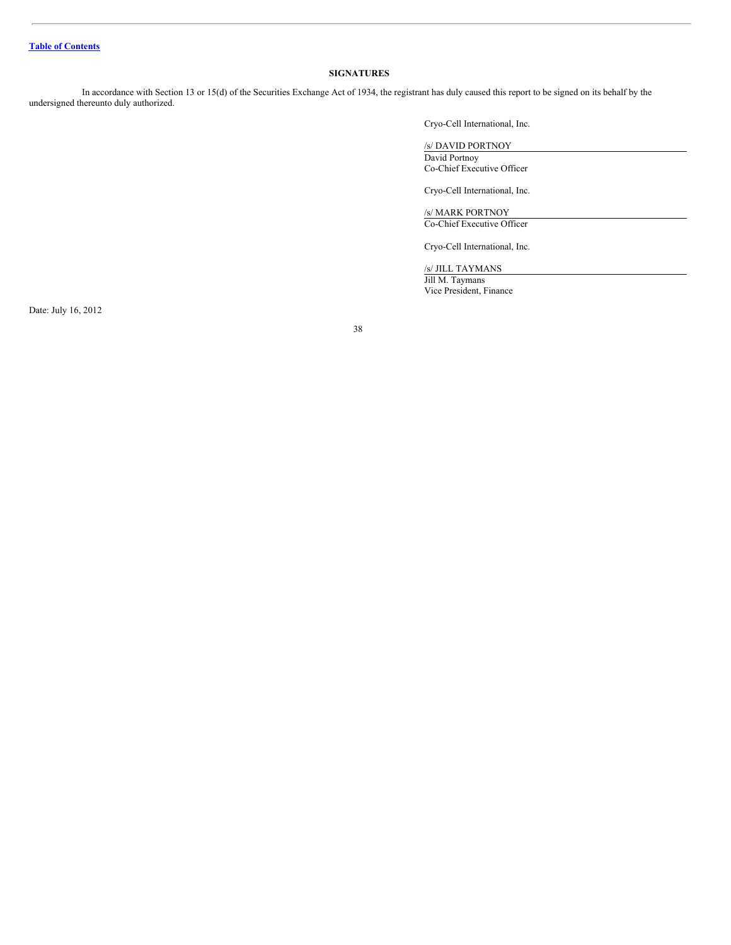# <span id="page-37-0"></span>**SIGNATURES**

In accordance with Section 13 or 15(d) of the Securities Exchange Act of 1934, the registrant has duly caused this report to be signed on its behalf by the undersigned thereunto duly authorized.

Cryo-Cell International, Inc.

/s/ DAVID PORTNOY

David Portnoy Co-Chief Executive Officer

Cryo-Cell International, Inc.

/s/ MARK PORTNOY Co-Chief Executive Officer

Cryo-Cell International, Inc.

/s/ JILL TAYMANS

Jill M. Taymans Vice President, Finance

Date: July 16, 2012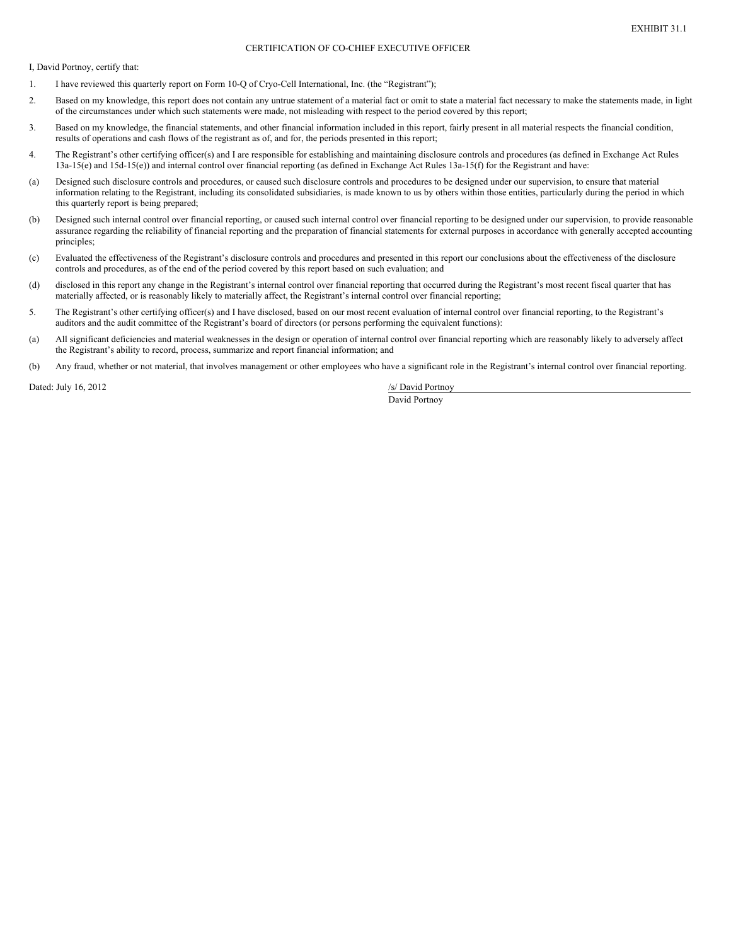# CERTIFICATION OF CO-CHIEF EXECUTIVE OFFICER

I, David Portnoy, certify that:

- 1. I have reviewed this quarterly report on Form 10-Q of Cryo-Cell International, Inc. (the "Registrant");
- 2. Based on my knowledge, this report does not contain any untrue statement of a material fact or omit to state a material fact necessary to make the statements made, in light of the circumstances under which such statements were made, not misleading with respect to the period covered by this report;
- 3. Based on my knowledge, the financial statements, and other financial information included in this report, fairly present in all material respects the financial condition, results of operations and cash flows of the registrant as of, and for, the periods presented in this report;
- 4. The Registrant's other certifying officer(s) and I are responsible for establishing and maintaining disclosure controls and procedures (as defined in Exchange Act Rules 13a-15(e) and 15d-15(e)) and internal control over financial reporting (as defined in Exchange Act Rules 13a-15(f) for the Registrant and have:
- (a) Designed such disclosure controls and procedures, or caused such disclosure controls and procedures to be designed under our supervision, to ensure that material information relating to the Registrant, including its consolidated subsidiaries, is made known to us by others within those entities, particularly during the period in which this quarterly report is being prepared;
- (b) Designed such internal control over financial reporting, or caused such internal control over financial reporting to be designed under our supervision, to provide reasonable assurance regarding the reliability of financial reporting and the preparation of financial statements for external purposes in accordance with generally accepted accounting principles;
- (c) Evaluated the effectiveness of the Registrant's disclosure controls and procedures and presented in this report our conclusions about the effectiveness of the disclosure controls and procedures, as of the end of the period covered by this report based on such evaluation; and
- (d) disclosed in this report any change in the Registrant's internal control over financial reporting that occurred during the Registrant's most recent fiscal quarter that has materially affected, or is reasonably likely to materially affect, the Registrant's internal control over financial reporting;
- 5. The Registrant's other certifying officer(s) and I have disclosed, based on our most recent evaluation of internal control over financial reporting, to the Registrant's auditors and the audit committee of the Registrant's board of directors (or persons performing the equivalent functions):
- (a) All significant deficiencies and material weaknesses in the design or operation of internal control over financial reporting which are reasonably likely to adversely affect the Registrant's ability to record, process, summarize and report financial information; and
- (b) Any fraud, whether or not material, that involves management or other employees who have a significant role in the Registrant's internal control over financial reporting.

Dated: July 16, 2012 /s/ David Portnoy

David Portnoy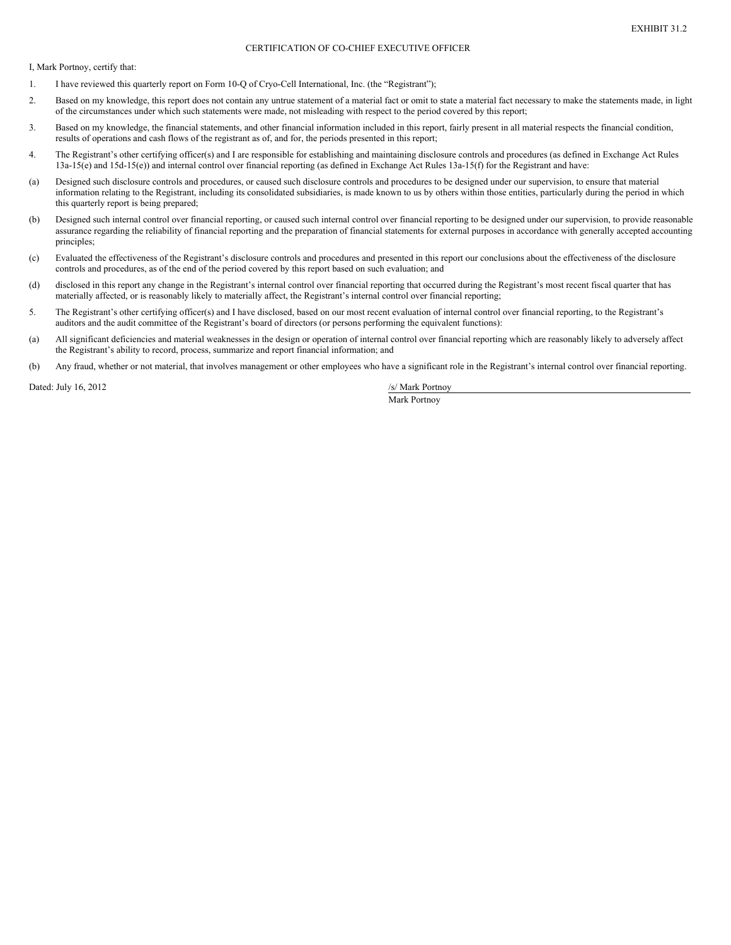# CERTIFICATION OF CO-CHIEF EXECUTIVE OFFICER

I, Mark Portnoy, certify that:

- 1. I have reviewed this quarterly report on Form 10-Q of Cryo-Cell International, Inc. (the "Registrant");
- 2. Based on my knowledge, this report does not contain any untrue statement of a material fact or omit to state a material fact necessary to make the statements made, in light of the circumstances under which such statements were made, not misleading with respect to the period covered by this report;
- 3. Based on my knowledge, the financial statements, and other financial information included in this report, fairly present in all material respects the financial condition, results of operations and cash flows of the registrant as of, and for, the periods presented in this report;
- 4. The Registrant's other certifying officer(s) and I are responsible for establishing and maintaining disclosure controls and procedures (as defined in Exchange Act Rules 13a-15(e) and 15d-15(e)) and internal control over financial reporting (as defined in Exchange Act Rules 13a-15(f) for the Registrant and have:
- (a) Designed such disclosure controls and procedures, or caused such disclosure controls and procedures to be designed under our supervision, to ensure that material information relating to the Registrant, including its consolidated subsidiaries, is made known to us by others within those entities, particularly during the period in which this quarterly report is being prepared;
- (b) Designed such internal control over financial reporting, or caused such internal control over financial reporting to be designed under our supervision, to provide reasonable assurance regarding the reliability of financial reporting and the preparation of financial statements for external purposes in accordance with generally accepted accounting principles;
- (c) Evaluated the effectiveness of the Registrant's disclosure controls and procedures and presented in this report our conclusions about the effectiveness of the disclosure controls and procedures, as of the end of the period covered by this report based on such evaluation; and
- (d) disclosed in this report any change in the Registrant's internal control over financial reporting that occurred during the Registrant's most recent fiscal quarter that has materially affected, or is reasonably likely to materially affect, the Registrant's internal control over financial reporting;
- 5. The Registrant's other certifying officer(s) and I have disclosed, based on our most recent evaluation of internal control over financial reporting, to the Registrant's auditors and the audit committee of the Registrant's board of directors (or persons performing the equivalent functions):
- (a) All significant deficiencies and material weaknesses in the design or operation of internal control over financial reporting which are reasonably likely to adversely affect the Registrant's ability to record, process, summarize and report financial information; and
- (b) Any fraud, whether or not material, that involves management or other employees who have a significant role in the Registrant's internal control over financial reporting.

Dated: July 16, 2012 /s/ Mark Portnoy

Mark Portnoy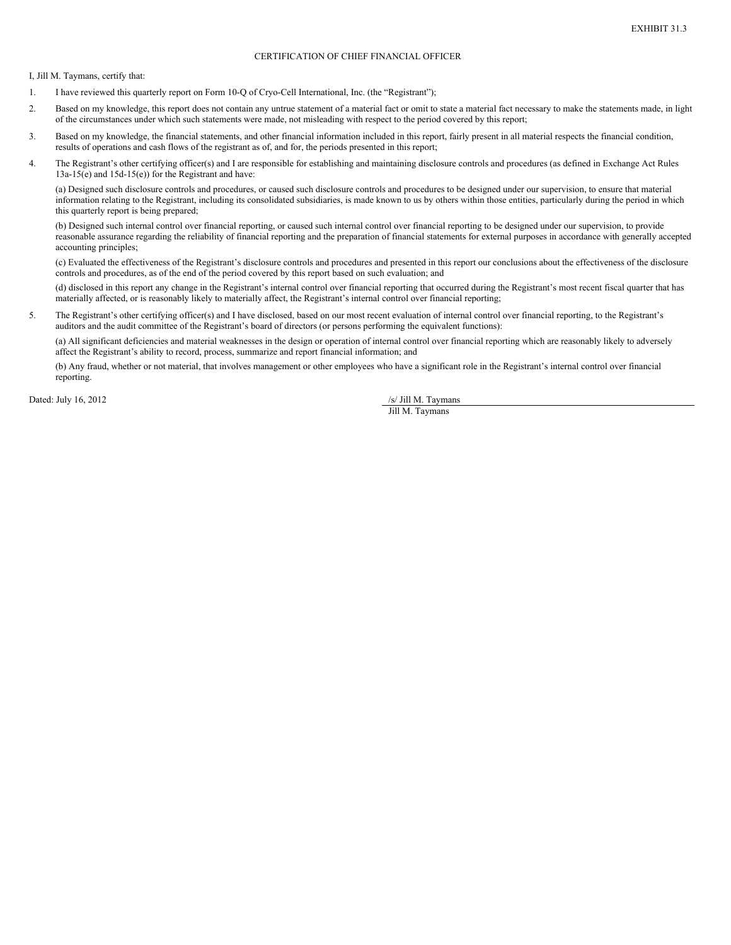# CERTIFICATION OF CHIEF FINANCIAL OFFICER

I, Jill M. Taymans, certify that:

- 1. I have reviewed this quarterly report on Form 10-Q of Cryo-Cell International, Inc. (the "Registrant");
- 2. Based on my knowledge, this report does not contain any untrue statement of a material fact or omit to state a material fact necessary to make the statements made, in light of the circumstances under which such statements were made, not misleading with respect to the period covered by this report;
- 3. Based on my knowledge, the financial statements, and other financial information included in this report, fairly present in all material respects the financial condition, results of operations and cash flows of the registrant as of, and for, the periods presented in this report;
- 4. The Registrant's other certifying officer(s) and I are responsible for establishing and maintaining disclosure controls and procedures (as defined in Exchange Act Rules 13a-15(e) and 15d-15(e)) for the Registrant and have:

(a) Designed such disclosure controls and procedures, or caused such disclosure controls and procedures to be designed under our supervision, to ensure that material information relating to the Registrant, including its consolidated subsidiaries, is made known to us by others within those entities, particularly during the period in which this quarterly report is being prepared;

(b) Designed such internal control over financial reporting, or caused such internal control over financial reporting to be designed under our supervision, to provide reasonable assurance regarding the reliability of financial reporting and the preparation of financial statements for external purposes in accordance with generally accepted accounting principles;

(c) Evaluated the effectiveness of the Registrant's disclosure controls and procedures and presented in this report our conclusions about the effectiveness of the disclosure controls and procedures, as of the end of the period covered by this report based on such evaluation; and

(d) disclosed in this report any change in the Registrant's internal control over financial reporting that occurred during the Registrant's most recent fiscal quarter that has materially affected, or is reasonably likely to materially affect, the Registrant's internal control over financial reporting;

5. The Registrant's other certifying officer(s) and I have disclosed, based on our most recent evaluation of internal control over financial reporting, to the Registrant's auditors and the audit committee of the Registrant's board of directors (or persons performing the equivalent functions):

(a) All significant deficiencies and material weaknesses in the design or operation of internal control over financial reporting which are reasonably likely to adversely affect the Registrant's ability to record, process, summarize and report financial information; and

(b) Any fraud, whether or not material, that involves management or other employees who have a significant role in the Registrant's internal control over financial reporting.

Dated: July 16, 2012 /s/ Jill M. Taymans

Jill M. Taymans